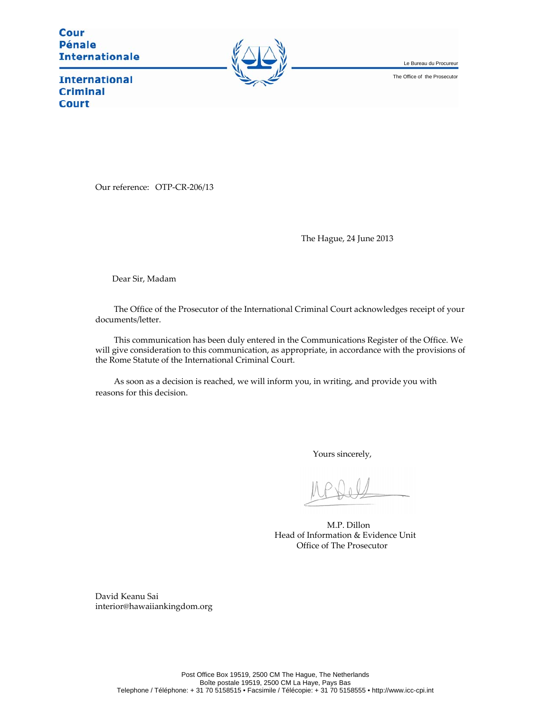Cour **Pénale Internationale** 



Le Bureau du Procureur

The Office of the Prosecutor

**International Criminal Court** 

Our reference: OTP-CR-206/13

The Hague, 24 June 2013

Dear Sir, Madam

The Office of the Prosecutor of the International Criminal Court acknowledges receipt of your documents/letter.

This communication has been duly entered in the Communications Register of the Office. We will give consideration to this communication, as appropriate, in accordance with the provisions of the Rome Statute of the International Criminal Court.

As soon as a decision is reached, we will inform you, in writing, and provide you with reasons for this decision.

Yours sincerely,

M.P. Dillon Head of Information & Evidence Unit Office of The Prosecutor

David Keanu Sai interior@hawaiiankingdom.org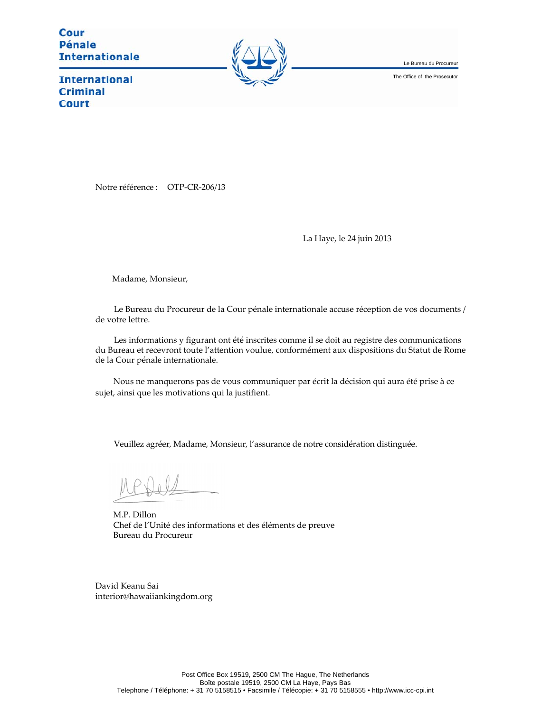Cour **Pénale Internationale** 



Le Bureau du Procureur

The Office of the Prosecutor

**International Criminal Court** 

Notre référence : OTP-CR-206/13

La Haye, le 24 juin 2013

Madame, Monsieur,

Le Bureau du Procureur de la Cour pénale internationale accuse réception de vos documents / de votre lettre.

Les informations y figurant ont été inscrites comme il se doit au registre des communications du Bureau et recevront toute l'attention voulue, conformément aux dispositions du Statut de Rome de la Cour pénale internationale.

Nous ne manquerons pas de vous communiquer par écrit la décision qui aura été prise à ce sujet, ainsi que les motivations qui la justifient.

Veuillez agréer, Madame, Monsieur, l'assurance de notre considération distinguée.

M.P. Dillon Chef de l'Unité des informations et des éléments de preuve Bureau du Procureur

David Keanu Sai interior@hawaiiankingdom.org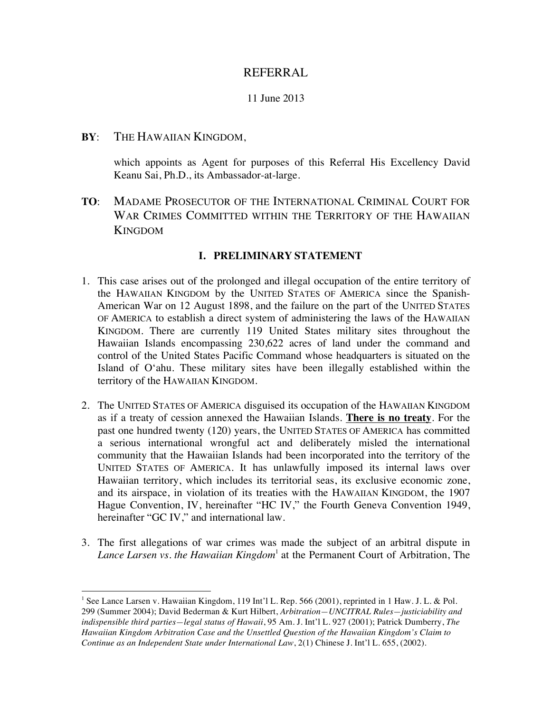# REFERRAL

# 11 June 2013

# **BY**: THE HAWAIIAN KINGDOM,

 

which appoints as Agent for purposes of this Referral His Excellency David Keanu Sai, Ph.D., its Ambassador-at-large.

**TO**: MADAME PROSECUTOR OF THE INTERNATIONAL CRIMINAL COURT FOR WAR CRIMES COMMITTED WITHIN THE TERRITORY OF THE HAWAIIAN **KINGDOM** 

### **I. PRELIMINARY STATEMENT**

- 1. This case arises out of the prolonged and illegal occupation of the entire territory of the HAWAIIAN KINGDOM by the UNITED STATES OF AMERICA since the Spanish-American War on 12 August 1898, and the failure on the part of the UNITED STATES OF AMERICA to establish a direct system of administering the laws of the HAWAIIAN KINGDOM. There are currently 119 United States military sites throughout the Hawaiian Islands encompassing 230,622 acres of land under the command and control of the United States Pacific Command whose headquarters is situated on the Island of O'ahu. These military sites have been illegally established within the territory of the HAWAIIAN KINGDOM.
- 2. The UNITED STATES OF AMERICA disguised its occupation of the HAWAIIAN KINGDOM as if a treaty of cession annexed the Hawaiian Islands. **There is no treaty**. For the past one hundred twenty (120) years, the UNITED STATES OF AMERICA has committed a serious international wrongful act and deliberately misled the international community that the Hawaiian Islands had been incorporated into the territory of the UNITED STATES OF AMERICA. It has unlawfully imposed its internal laws over Hawaiian territory, which includes its territorial seas, its exclusive economic zone, and its airspace, in violation of its treaties with the HAWAIIAN KINGDOM, the 1907 Hague Convention, IV, hereinafter "HC IV," the Fourth Geneva Convention 1949, hereinafter "GC IV," and international law.
- 3. The first allegations of war crimes was made the subject of an arbitral dispute in *Lance Larsen vs. the Hawaiian Kingdom*<sup>1</sup> at the Permanent Court of Arbitration, The

<sup>1</sup> See Lance Larsen v. Hawaiian Kingdom, 119 Int'l L. Rep. 566 (2001), reprinted in 1 Haw. J. L. & Pol. 299 (Summer 2004); David Bederman & Kurt Hilbert, *Arbitration—UNCITRAL Rules—justiciability and indispensible third parties—legal status of Hawaii*, 95 Am. J. Int'l L. 927 (2001); Patrick Dumberry, *The Hawaiian Kingdom Arbitration Case and the Unsettled Question of the Hawaiian Kingdom's Claim to Continue as an Independent State under International Law*, 2(1) Chinese J. Int'l L. 655, (2002).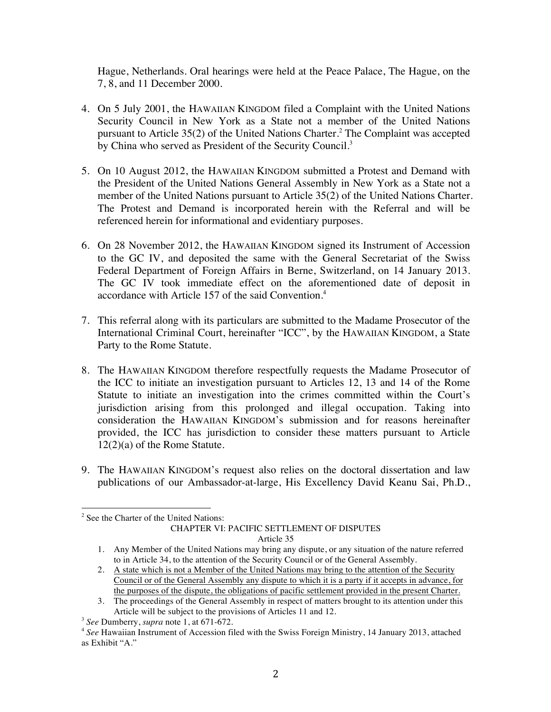Hague, Netherlands. Oral hearings were held at the Peace Palace, The Hague, on the 7, 8, and 11 December 2000.

- 4. On 5 July 2001, the HAWAIIAN KINGDOM filed a Complaint with the United Nations Security Council in New York as a State not a member of the United Nations pursuant to Article 35(2) of the United Nations Charter.<sup>2</sup> The Complaint was accepted by China who served as President of the Security Council.<sup>3</sup>
- 5. On 10 August 2012, the HAWAIIAN KINGDOM submitted a Protest and Demand with the President of the United Nations General Assembly in New York as a State not a member of the United Nations pursuant to Article 35(2) of the United Nations Charter. The Protest and Demand is incorporated herein with the Referral and will be referenced herein for informational and evidentiary purposes.
- 6. On 28 November 2012, the HAWAIIAN KINGDOM signed its Instrument of Accession to the GC IV, and deposited the same with the General Secretariat of the Swiss Federal Department of Foreign Affairs in Berne, Switzerland, on 14 January 2013. The GC IV took immediate effect on the aforementioned date of deposit in accordance with Article 157 of the said Convention.<sup>4</sup>
- 7. This referral along with its particulars are submitted to the Madame Prosecutor of the International Criminal Court, hereinafter "ICC", by the HAWAIIAN KINGDOM, a State Party to the Rome Statute.
- 8. The HAWAIIAN KINGDOM therefore respectfully requests the Madame Prosecutor of the ICC to initiate an investigation pursuant to Articles 12, 13 and 14 of the Rome Statute to initiate an investigation into the crimes committed within the Court's jurisdiction arising from this prolonged and illegal occupation. Taking into consideration the HAWAIIAN KINGDOM's submission and for reasons hereinafter provided, the ICC has jurisdiction to consider these matters pursuant to Article 12(2)(a) of the Rome Statute.
- 9. The HAWAIIAN KINGDOM's request also relies on the doctoral dissertation and law publications of our Ambassador-at-large, His Excellency David Keanu Sai, Ph.D.,

<sup>&</sup>lt;sup>2</sup> See the Charter of the United Nations: CHAPTER VI: PACIFIC SETTLEMENT OF DISPUTES Article 35

<sup>1.</sup> Any Member of the United Nations may bring any dispute, or any situation of the nature referred to in Article 34, to the attention of the Security Council or of the General Assembly.

<sup>2.</sup> A state which is not a Member of the United Nations may bring to the attention of the Security Council or of the General Assembly any dispute to which it is a party if it accepts in advance, for the purposes of the dispute, the obligations of pacific settlement provided in the present Charter.

<sup>3.</sup> The proceedings of the General Assembly in respect of matters brought to its attention under this Article will be subject to the provisions of Articles 11 and 12.

<sup>3</sup> *See* Dumberry, *supra* note 1, at 671-672.

<sup>4</sup> *See* Hawaiian Instrument of Accession filed with the Swiss Foreign Ministry, 14 January 2013, attached as Exhibit "A."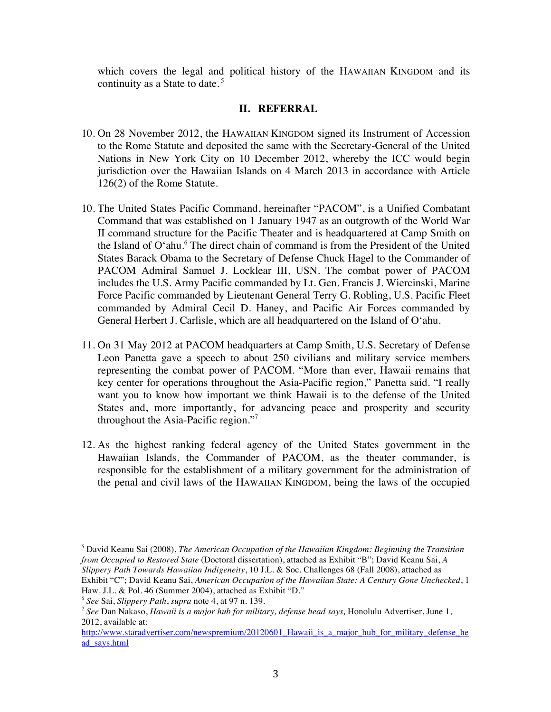which covers the legal and political history of the HAWAIIAN KINGDOM and its continuity as a State to date.<sup>5</sup>

### **II. REFERRAL**

- 10. On 28 November 2012, the HAWAIIAN KINGDOM signed its Instrument of Accession to the Rome Statute and deposited the same with the Secretary-General of the United Nations in New York City on 10 December 2012, whereby the ICC would begin jurisdiction over the Hawaiian Islands on 4 March 2013 in accordance with Article 126(2) of the Rome Statute.
- 10. The United States Pacific Command, hereinafter "PACOM", is a Unified Combatant Command that was established on 1 January 1947 as an outgrowth of the World War II command structure for the Pacific Theater and is headquartered at Camp Smith on the Island of  $O'$ ahu. $^6$  The direct chain of command is from the President of the United States Barack Obama to the Secretary of Defense Chuck Hagel to the Commander of PACOM Admiral Samuel J. Locklear III, USN. The combat power of PACOM includes the U.S. Army Pacific commanded by Lt. Gen. Francis J. Wiercinski, Marine Force Pacific commanded by Lieutenant General Terry G. Robling, U.S. Pacific Fleet commanded by Admiral Cecil D. Haney, and Pacific Air Forces commanded by General Herbert J. Carlisle, which are all headquartered on the Island of O'ahu.
- 11. On 31 May 2012 at PACOM headquarters at Camp Smith, U.S. Secretary of Defense Leon Panetta gave a speech to about 250 civilians and military service members representing the combat power of PACOM. "More than ever, Hawaii remains that key center for operations throughout the Asia-Pacific region," Panetta said. "I really want you to know how important we think Hawaii is to the defense of the United States and, more importantly, for advancing peace and prosperity and security throughout the Asia-Pacific region."<sup>7</sup>
- 12. As the highest ranking federal agency of the United States government in the Hawaiian Islands, the Commander of PACOM, as the theater commander, is responsible for the establishment of a military government for the administration of the penal and civil laws of the HAWAIIAN KINGDOM, being the laws of the occupied

<sup>5</sup> David Keanu Sai (2008), *The American Occupation of the Hawaiian Kingdom: Beginning the Transition from Occupied to Restored State* (Doctoral dissertation), attached as Exhibit "B"; David Keanu Sai, *A Slippery Path Towards Hawaiian Indigeneity*, 10 J.L. & Soc. Challenges 68 (Fall 2008), attached as Exhibit "C"; David Keanu Sai, *American Occupation of the Hawaiian State: A Century Gone Unchecked*, 1

Haw. J.L. & Pol. 46 (Summer 2004), attached as Exhibit "D."

<sup>6</sup> *See* Sai, *Slippery Path*, *supra* note 4, at 97 n. 139.

<sup>7</sup> *See* Dan Nakaso, *Hawaii is a major hub for military, defense head says,* Honolulu Advertiser, June 1, 2012, available at:

http://www.staradvertiser.com/newspremium/20120601 Hawaii is a major hub for military defense he ad\_says.html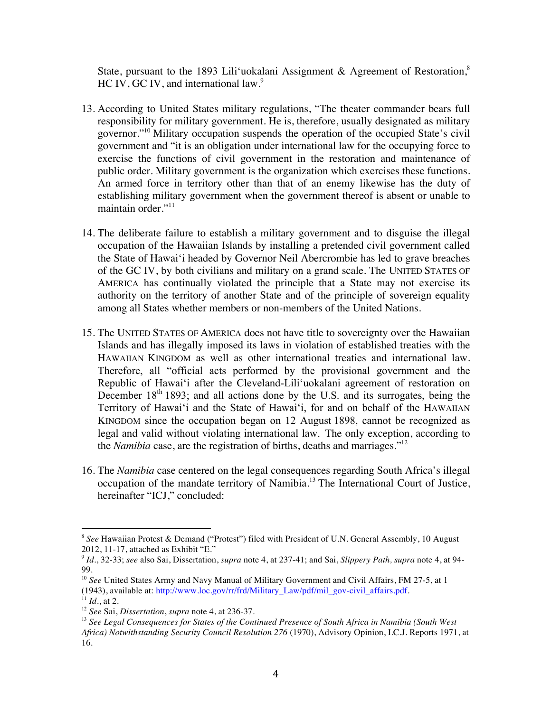State, pursuant to the 1893 Lili'uokalani Assignment & Agreement of Restoration,<sup>8</sup> HC IV, GC IV, and international law.<sup>9</sup>

- 13. According to United States military regulations, "The theater commander bears full responsibility for military government. He is, therefore, usually designated as military governor."10 Military occupation suspends the operation of the occupied State's civil government and "it is an obligation under international law for the occupying force to exercise the functions of civil government in the restoration and maintenance of public order. Military government is the organization which exercises these functions. An armed force in territory other than that of an enemy likewise has the duty of establishing military government when the government thereof is absent or unable to maintain order."<sup>11</sup>
- 14. The deliberate failure to establish a military government and to disguise the illegal occupation of the Hawaiian Islands by installing a pretended civil government called the State of Hawai'i headed by Governor Neil Abercrombie has led to grave breaches of the GC IV, by both civilians and military on a grand scale. The UNITED STATES OF AMERICA has continually violated the principle that a State may not exercise its authority on the territory of another State and of the principle of sovereign equality among all States whether members or non-members of the United Nations.
- 15. The UNITED STATES OF AMERICA does not have title to sovereignty over the Hawaiian Islands and has illegally imposed its laws in violation of established treaties with the HAWAIIAN KINGDOM as well as other international treaties and international law. Therefore, all "official acts performed by the provisional government and the Republic of Hawai'i after the Cleveland-Lili'uokalani agreement of restoration on December  $18<sup>th</sup> 1893$ ; and all actions done by the U.S. and its surrogates, being the Territory of Hawai'i and the State of Hawai'i, for and on behalf of the HAWAIIAN KINGDOM since the occupation began on 12 August 1898, cannot be recognized as legal and valid without violating international law. The only exception, according to the *Namibia* case, are the registration of births, deaths and marriages."12
- 16. The *Namibia* case centered on the legal consequences regarding South Africa's illegal occupation of the mandate territory of Namibia. <sup>13</sup> The International Court of Justice, hereinafter "ICJ," concluded:

<sup>&</sup>lt;sup>8</sup> See Hawaiian Protest & Demand ("Protest") filed with President of U.N. General Assembly, 10 August 2012, 11-17, attached as Exhibit "E."

<sup>9</sup> *Id*., 32-33; *see* also Sai, Dissertation, *supra* note 4, at 237-41; and Sai, *Slippery Path, supra* note 4, at 94- 99.

<sup>&</sup>lt;sup>10</sup> See United States Army and Navy Manual of Military Government and Civil Affairs, FM 27-5, at 1 (1943), available at: http://www.loc.gov/rr/frd/Military\_Law/pdf/mil\_gov-civil\_affairs.pdf.

 $11$  *Id.*, at 2.

<sup>12</sup> *See* Sai, *Dissertation*, *supra* note 4, at 236-37.

<sup>13</sup> *See Legal Consequences for States of the Continued Presence of South Africa in Namibia (South West Africa) Notwithstanding Security Council Resolution 276* (1970), Advisory Opinion, I.C.J. Reports 1971, at 16.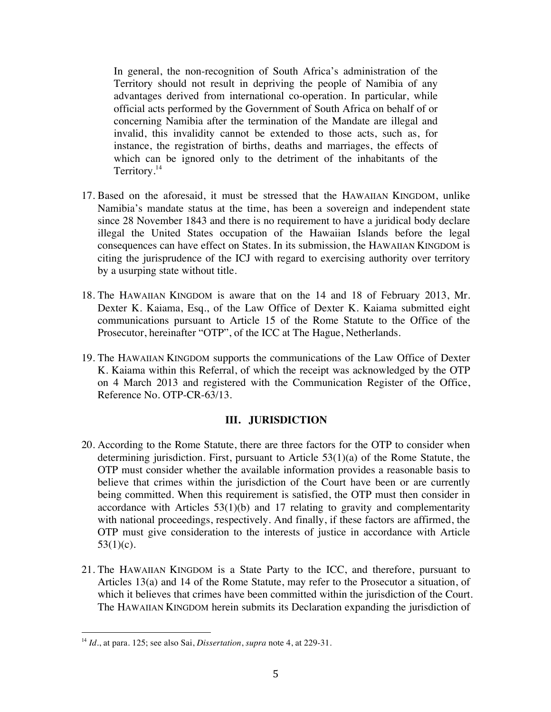In general, the non-recognition of South Africa's administration of the Territory should not result in depriving the people of Namibia of any advantages derived from international co-operation. In particular, while official acts performed by the Government of South Africa on behalf of or concerning Namibia after the termination of the Mandate are illegal and invalid, this invalidity cannot be extended to those acts, such as, for instance, the registration of births, deaths and marriages, the effects of which can be ignored only to the detriment of the inhabitants of the Territory.<sup>14</sup>

- 17. Based on the aforesaid, it must be stressed that the HAWAIIAN KINGDOM, unlike Namibia's mandate status at the time, has been a sovereign and independent state since 28 November 1843 and there is no requirement to have a juridical body declare illegal the United States occupation of the Hawaiian Islands before the legal consequences can have effect on States. In its submission, the HAWAIIAN KINGDOM is citing the jurisprudence of the ICJ with regard to exercising authority over territory by a usurping state without title.
- 18. The HAWAIIAN KINGDOM is aware that on the 14 and 18 of February 2013, Mr. Dexter K. Kaiama, Esq., of the Law Office of Dexter K. Kaiama submitted eight communications pursuant to Article 15 of the Rome Statute to the Office of the Prosecutor, hereinafter "OTP", of the ICC at The Hague, Netherlands.
- 19. The HAWAIIAN KINGDOM supports the communications of the Law Office of Dexter K. Kaiama within this Referral, of which the receipt was acknowledged by the OTP on 4 March 2013 and registered with the Communication Register of the Office, Reference No. OTP-CR-63/13.

### **III. JURISDICTION**

- 20. According to the Rome Statute, there are three factors for the OTP to consider when determining jurisdiction. First, pursuant to Article 53(1)(a) of the Rome Statute, the OTP must consider whether the available information provides a reasonable basis to believe that crimes within the jurisdiction of the Court have been or are currently being committed. When this requirement is satisfied, the OTP must then consider in accordance with Articles 53(1)(b) and 17 relating to gravity and complementarity with national proceedings, respectively. And finally, if these factors are affirmed, the OTP must give consideration to the interests of justice in accordance with Article  $53(1)(c)$ .
- 21. The HAWAIIAN KINGDOM is a State Party to the ICC, and therefore, pursuant to Articles 13(a) and 14 of the Rome Statute, may refer to the Prosecutor a situation, of which it believes that crimes have been committed within the jurisdiction of the Court. The HAWAIIAN KINGDOM herein submits its Declaration expanding the jurisdiction of

<sup>14</sup> *Id*., at para. 125; see also Sai, *Dissertation*, *supra* note 4, at 229-31.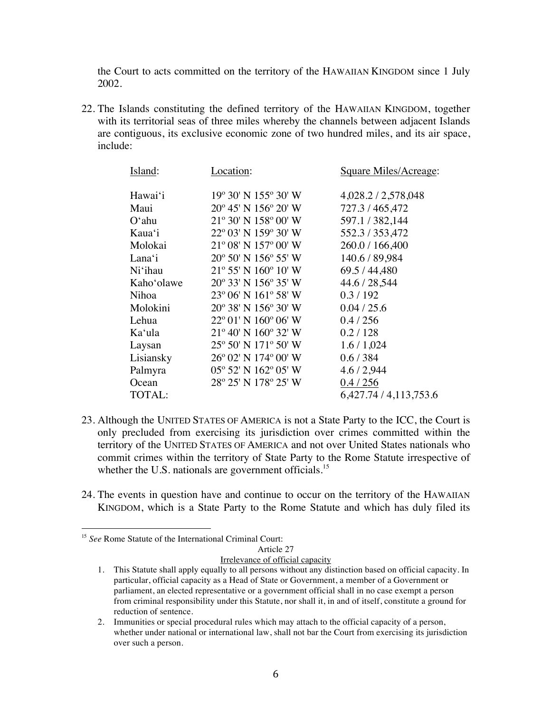the Court to acts committed on the territory of the HAWAIIAN KINGDOM since 1 July 2002.

22. The Islands constituting the defined territory of the HAWAIIAN KINGDOM, together with its territorial seas of three miles whereby the channels between adjacent Islands are contiguous, its exclusive economic zone of two hundred miles, and its air space, include:

| Island:            | Location:                               | Square Miles/Acreage:  |
|--------------------|-----------------------------------------|------------------------|
| Hawai'i            | 19° 30' N 155° 30' W                    | 4,028.2 / 2,578,048    |
| Maui               | $20^{\circ}$ 45' N 156 $^{\circ}$ 20' W | 727.3/465,472          |
| $O^{\epsilon}$ ahu | 21° 30' N 158° 00' W                    | 597.1 / 382,144        |
| Kaua'i             | 22° 03′ N 159° 30′ W                    | 552.3 / 353,472        |
| Molokai            | $21^{\circ}$ 08' N $157^{\circ}$ 00' W  | 260.0 / 166,400        |
| Lana'i             | $20^{\circ}$ 50' N 156 $^{\circ}$ 55' W | 140.6 / 89,984         |
| Ni'ihau            | $21^{\circ}$ 55' N $160^{\circ}$ 10' W  | 69.5 / 44,480          |
| Kaho'olawe         | $20^{\circ}$ 33' N 156 $^{\circ}$ 35' W | 44.6 / 28,544          |
| Nihoa              | 23° 06' N 161° 58' W                    | 0.3/192                |
| Molokini           | 20° 38' N 156° 30' W                    | 0.04 / 25.6            |
| Lehua              | $22^{\circ}$ 01' N 160 $^{\circ}$ 06' W | 0.4/256                |
| Ka'ula             | $21^{\circ}$ 40' N $160^{\circ}$ 32' W  | 0.2 / 128              |
| Laysan             | 25° 50' N 171° 50' W                    | 1.6/1,024              |
| Lisiansky          | 26° 02′ N 174° 00′ W                    | 0.6/384                |
| Palmyra            | 05° 52′ N 162° 05′ W                    | 4.6 / 2,944            |
| Ocean              | 28° 25' N 178° 25' W                    | 0.4 / 256              |
| <b>TOTAL:</b>      |                                         | 6,427.74 / 4,113,753.6 |

- 23. Although the UNITED STATES OF AMERICA is not a State Party to the ICC, the Court is only precluded from exercising its jurisdiction over crimes committed within the territory of the UNITED STATES OF AMERICA and not over United States nationals who commit crimes within the territory of State Party to the Rome Statute irrespective of whether the U.S. nationals are government officials.<sup>15</sup>
- 24. The events in question have and continue to occur on the territory of the HAWAIIAN KINGDOM, which is a State Party to the Rome Statute and which has duly filed its

<sup>&</sup>lt;sup>15</sup> See Rome Statute of the International Criminal Court:

Article 27

Irrelevance of official capacity

<sup>1.</sup> This Statute shall apply equally to all persons without any distinction based on official capacity. In particular, official capacity as a Head of State or Government, a member of a Government or parliament, an elected representative or a government official shall in no case exempt a person from criminal responsibility under this Statute, nor shall it, in and of itself, constitute a ground for reduction of sentence.

<sup>2.</sup> Immunities or special procedural rules which may attach to the official capacity of a person, whether under national or international law, shall not bar the Court from exercising its jurisdiction over such a person.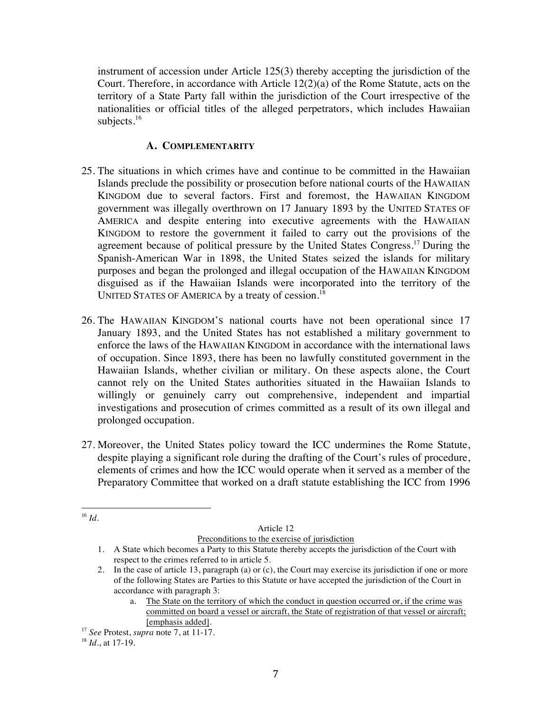instrument of accession under Article 125(3) thereby accepting the jurisdiction of the Court. Therefore, in accordance with Article 12(2)(a) of the Rome Statute, acts on the territory of a State Party fall within the jurisdiction of the Court irrespective of the nationalities or official titles of the alleged perpetrators, which includes Hawaiian subjects.<sup>16</sup>

### **A. COMPLEMENTARITY**

- 25. The situations in which crimes have and continue to be committed in the Hawaiian Islands preclude the possibility or prosecution before national courts of the HAWAIIAN KINGDOM due to several factors. First and foremost, the HAWAIIAN KINGDOM government was illegally overthrown on 17 January 1893 by the UNITED STATES OF AMERICA and despite entering into executive agreements with the HAWAIIAN KINGDOM to restore the government it failed to carry out the provisions of the agreement because of political pressure by the United States Congress.<sup>17</sup> During the Spanish-American War in 1898, the United States seized the islands for military purposes and began the prolonged and illegal occupation of the HAWAIIAN KINGDOM disguised as if the Hawaiian Islands were incorporated into the territory of the UNITED STATES OF AMERICA by a treaty of cession.<sup>18</sup>
- 26. The HAWAIIAN KINGDOM'S national courts have not been operational since 17 January 1893, and the United States has not established a military government to enforce the laws of the HAWAIIAN KINGDOM in accordance with the international laws of occupation. Since 1893, there has been no lawfully constituted government in the Hawaiian Islands, whether civilian or military. On these aspects alone, the Court cannot rely on the United States authorities situated in the Hawaiian Islands to willingly or genuinely carry out comprehensive, independent and impartial investigations and prosecution of crimes committed as a result of its own illegal and prolonged occupation.
- 27. Moreover, the United States policy toward the ICC undermines the Rome Statute, despite playing a significant role during the drafting of the Court's rules of procedure, elements of crimes and how the ICC would operate when it served as a member of the Preparatory Committee that worked on a draft statute establishing the ICC from 1996

Article 12

Preconditions to the exercise of jurisdiction

a. The State on the territory of which the conduct in question occurred or, if the crime was committed on board a vessel or aircraft, the State of registration of that vessel or aircraft; [emphasis added].

 <sup>16</sup> *Id*.

<sup>1.</sup> A State which becomes a Party to this Statute thereby accepts the jurisdiction of the Court with respect to the crimes referred to in article 5.

<sup>2.</sup> In the case of article 13, paragraph (a) or (c), the Court may exercise its jurisdiction if one or more of the following States are Parties to this Statute or have accepted the jurisdiction of the Court in accordance with paragraph 3:

<sup>17</sup> *See* Protest, *supra* note 7, at 11-17.

<sup>18</sup> *Id*., at 17-19.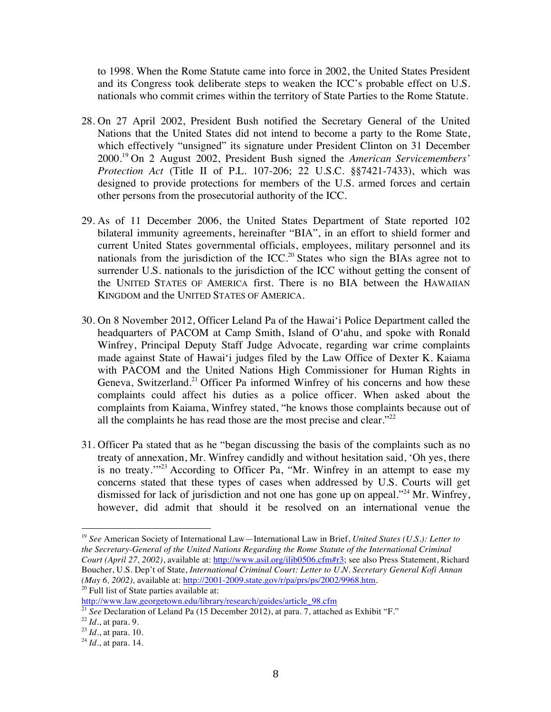to 1998. When the Rome Statute came into force in 2002, the United States President and its Congress took deliberate steps to weaken the ICC's probable effect on U.S. nationals who commit crimes within the territory of State Parties to the Rome Statute.

- 28. On 27 April 2002, President Bush notified the Secretary General of the United Nations that the United States did not intend to become a party to the Rome State, which effectively "unsigned" its signature under President Clinton on 31 December 2000. <sup>19</sup> On 2 August 2002, President Bush signed the *American Servicemembers' Protection Act* (Title II of P.L. 107-206; 22 U.S.C. §§7421-7433), which was designed to provide protections for members of the U.S. armed forces and certain other persons from the prosecutorial authority of the ICC.
- 29. As of 11 December 2006, the United States Department of State reported 102 bilateral immunity agreements, hereinafter "BIA", in an effort to shield former and current United States governmental officials, employees, military personnel and its nationals from the jurisdiction of the  $ICC.^{20}$  States who sign the BIAs agree not to surrender U.S. nationals to the jurisdiction of the ICC without getting the consent of the UNITED STATES OF AMERICA first. There is no BIA between the HAWAIIAN KINGDOM and the UNITED STATES OF AMERICA.
- 30. On 8 November 2012, Officer Leland Pa of the Hawai'i Police Department called the headquarters of PACOM at Camp Smith, Island of O'ahu, and spoke with Ronald Winfrey, Principal Deputy Staff Judge Advocate, regarding war crime complaints made against State of Hawai'i judges filed by the Law Office of Dexter K. Kaiama with PACOM and the United Nations High Commissioner for Human Rights in Geneva, Switzerland.<sup>21</sup> Officer Pa informed Winfrey of his concerns and how these complaints could affect his duties as a police officer. When asked about the complaints from Kaiama, Winfrey stated, "he knows those complaints because out of all the complaints he has read those are the most precise and clear."<sup>22</sup>
- 31. Officer Pa stated that as he "began discussing the basis of the complaints such as no treaty of annexation, Mr. Winfrey candidly and without hesitation said, 'Oh yes, there is no treaty.'"23 According to Officer Pa, "Mr. Winfrey in an attempt to ease my concerns stated that these types of cases when addressed by U.S. Courts will get dismissed for lack of jurisdiction and not one has gone up on appeal."<sup>24</sup> Mr. Winfrey, however, did admit that should it be resolved on an international venue the

<sup>19</sup> *See* American Society of International Law—International Law in Brief, *United States (U.S.): Letter to the Secretary-General of the United Nations Regarding the Rome Statute of the International Criminal Court (April 27, 2002)*, available at: http://www.asil.org/ilib0506.cfm#r3; see also Press Statement, Richard Boucher, U.S. Dep't of State, *International Criminal Court: Letter to U.N. Secretary General Kofi Annan (May 6, 2002),* available at: http://2001-2009.state.gov/r/pa/prs/ps/2002/9968.htm.

 $20$  Full list of State parties available at:

http://www.law.georgetown.edu/library/research/guides/article\_98.cfm

<sup>21</sup> *See* Declaration of Leland Pa (15 December 2012), at para. 7, attached as Exhibit "F."

<sup>22</sup> *Id*., at para. 9.

<sup>23</sup> *Id*., at para. 10.

<sup>24</sup> *Id*., at para. 14.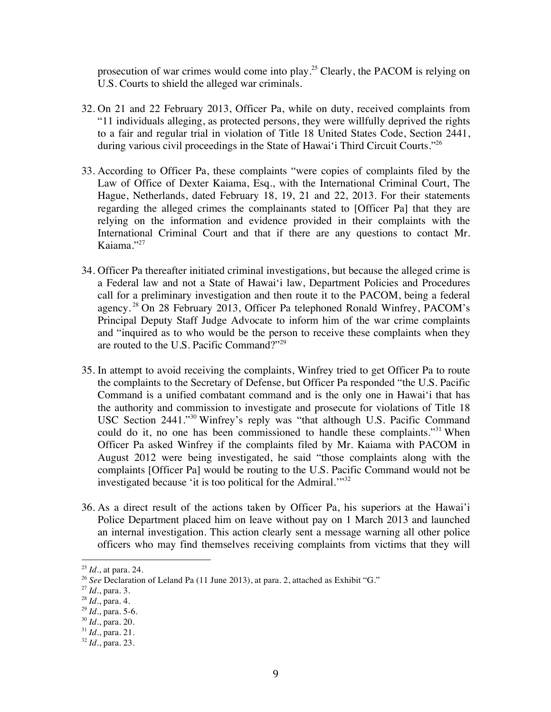prosecution of war crimes would come into play.25 Clearly, the PACOM is relying on U.S. Courts to shield the alleged war criminals.

- 32. On 21 and 22 February 2013, Officer Pa, while on duty, received complaints from "11 individuals alleging, as protected persons, they were willfully deprived the rights to a fair and regular trial in violation of Title 18 United States Code, Section 2441, during various civil proceedings in the State of Hawai'i Third Circuit Courts."26
- 33. According to Officer Pa, these complaints "were copies of complaints filed by the Law of Office of Dexter Kaiama, Esq., with the International Criminal Court, The Hague, Netherlands, dated February 18, 19, 21 and 22, 2013. For their statements regarding the alleged crimes the complainants stated to [Officer Pa] that they are relying on the information and evidence provided in their complaints with the International Criminal Court and that if there are any questions to contact Mr. Kaiama." $^{27}$
- 34. Officer Pa thereafter initiated criminal investigations, but because the alleged crime is a Federal law and not a State of Hawai'i law, Department Policies and Procedures call for a preliminary investigation and then route it to the PACOM, being a federal agency.<sup>28</sup> On 28 February 2013, Officer Pa telephoned Ronald Winfrey, PACOM's Principal Deputy Staff Judge Advocate to inform him of the war crime complaints and "inquired as to who would be the person to receive these complaints when they are routed to the U.S. Pacific Command?"29
- 35. In attempt to avoid receiving the complaints, Winfrey tried to get Officer Pa to route the complaints to the Secretary of Defense, but Officer Pa responded "the U.S. Pacific Command is a unified combatant command and is the only one in Hawai'i that has the authority and commission to investigate and prosecute for violations of Title 18 USC Section 2441."<sup>30</sup> Winfrey's reply was "that although U.S. Pacific Command could do it, no one has been commissioned to handle these complaints."<sup>31</sup> When Officer Pa asked Winfrey if the complaints filed by Mr. Kaiama with PACOM in August 2012 were being investigated, he said "those complaints along with the complaints [Officer Pa] would be routing to the U.S. Pacific Command would not be investigated because 'it is too political for the Admiral.'"<sup>32</sup>
- 36. As a direct result of the actions taken by Officer Pa, his superiors at the Hawai'i Police Department placed him on leave without pay on 1 March 2013 and launched an internal investigation. This action clearly sent a message warning all other police officers who may find themselves receiving complaints from victims that they will

<sup>25</sup> *Id*., at para. 24.

<sup>&</sup>lt;sup>26</sup> See Declaration of Leland Pa (11 June 2013), at para. 2, attached as Exhibit "G."

<sup>27</sup> *Id*., para. 3.

<sup>28</sup> *Id*., para. 4.

<sup>29</sup> *Id*., para. 5-6.

<sup>30</sup> *Id*., para. 20.

<sup>31</sup> *Id*., para. 21.

<sup>32</sup> *Id*., para. 23.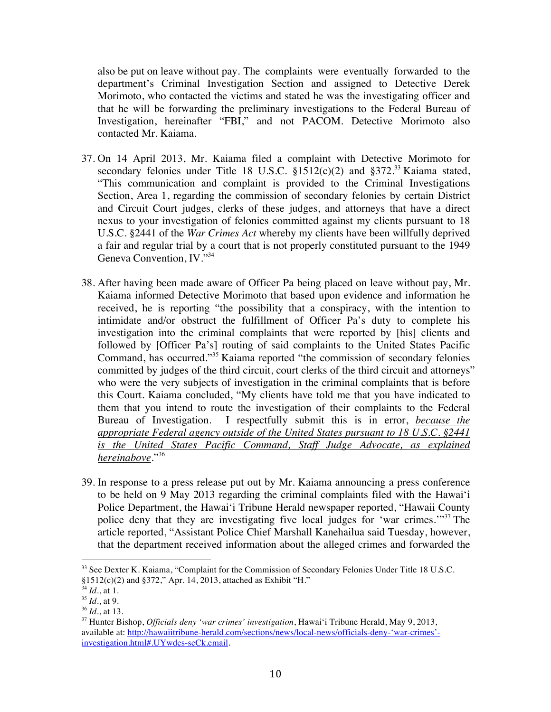also be put on leave without pay. The complaints were eventually forwarded to the department's Criminal Investigation Section and assigned to Detective Derek Morimoto, who contacted the victims and stated he was the investigating officer and that he will be forwarding the preliminary investigations to the Federal Bureau of Investigation, hereinafter "FBI," and not PACOM. Detective Morimoto also contacted Mr. Kaiama.

- 37. On 14 April 2013, Mr. Kaiama filed a complaint with Detective Morimoto for secondary felonies under Title 18 U.S.C.  $$1512(c)(2)$  and  $$372.<sup>33</sup>$  Kaiama stated, "This communication and complaint is provided to the Criminal Investigations Section, Area 1, regarding the commission of secondary felonies by certain District and Circuit Court judges, clerks of these judges, and attorneys that have a direct nexus to your investigation of felonies committed against my clients pursuant to 18 U.S.C. §2441 of the *War Crimes Act* whereby my clients have been willfully deprived a fair and regular trial by a court that is not properly constituted pursuant to the 1949 Geneva Convention, IV."<sup>34</sup>
- 38. After having been made aware of Officer Pa being placed on leave without pay, Mr. Kaiama informed Detective Morimoto that based upon evidence and information he received, he is reporting "the possibility that a conspiracy, with the intention to intimidate and/or obstruct the fulfillment of Officer Pa's duty to complete his investigation into the criminal complaints that were reported by [his] clients and followed by [Officer Pa's] routing of said complaints to the United States Pacific Command, has occurred."35 Kaiama reported "the commission of secondary felonies committed by judges of the third circuit, court clerks of the third circuit and attorneys" who were the very subjects of investigation in the criminal complaints that is before this Court. Kaiama concluded, "My clients have told me that you have indicated to them that you intend to route the investigation of their complaints to the Federal Bureau of Investigation. I respectfully submit this is in error, *because the appropriate Federal agency outside of the United States pursuant to 18 U.S.C. §2441 is the United States Pacific Command, Staff Judge Advocate, as explained hereinabove*."<sup>36</sup>
- 39. In response to a press release put out by Mr. Kaiama announcing a press conference to be held on 9 May 2013 regarding the criminal complaints filed with the Hawai'i Police Department, the Hawai'i Tribune Herald newspaper reported, "Hawaii County police deny that they are investigating five local judges for 'war crimes.'"<sup>37</sup> The article reported, "Assistant Police Chief Marshall Kanehailua said Tuesday, however, that the department received information about the alleged crimes and forwarded the

<sup>&</sup>lt;sup>33</sup> See Dexter K. Kaiama, "Complaint for the Commission of Secondary Felonies Under Title 18 U.S.C.  $§1512(c)(2)$  and  $§372$ ," Apr. 14, 2013, attached as Exhibit "H."

 $34$  *Id.*, at 1.

 $^{35}$  *Id.*, at 9.

<sup>36</sup> *Id*., at 13.

<sup>37</sup> Hunter Bishop, *Officials deny 'war crimes' investigation*, Hawai'i Tribune Herald, May 9, 2013, available at: http://hawaiitribune-herald.com/sections/news/local-news/officials-deny-'war-crimes' investigation.html#.UYwdes-scCk.email.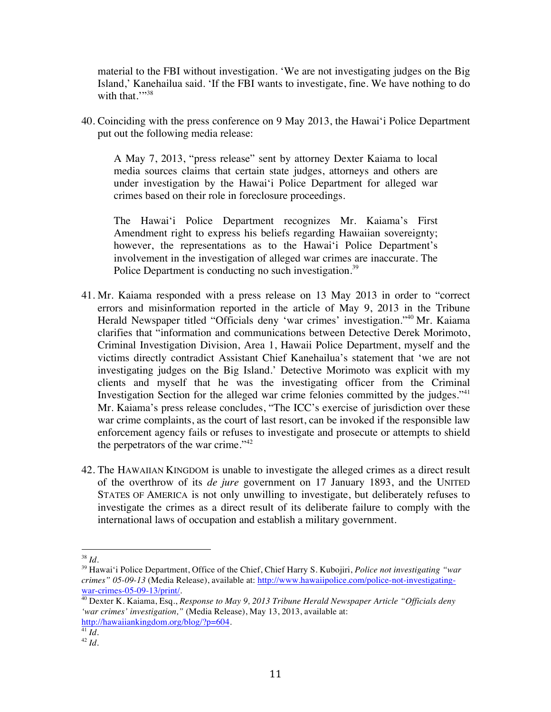material to the FBI without investigation. 'We are not investigating judges on the Big Island,' Kanehailua said. 'If the FBI wants to investigate, fine. We have nothing to do with that.""38

40. Coinciding with the press conference on 9 May 2013, the Hawai'i Police Department put out the following media release:

A May 7, 2013, "press release" sent by attorney Dexter Kaiama to local media sources claims that certain state judges, attorneys and others are under investigation by the Hawai'i Police Department for alleged war crimes based on their role in foreclosure proceedings.

The Hawai'i Police Department recognizes Mr. Kaiama's First Amendment right to express his beliefs regarding Hawaiian sovereignty; however, the representations as to the Hawai'i Police Department's involvement in the investigation of alleged war crimes are inaccurate. The Police Department is conducting no such investigation.<sup>39</sup>

- 41. Mr. Kaiama responded with a press release on 13 May 2013 in order to "correct errors and misinformation reported in the article of May 9, 2013 in the Tribune Herald Newspaper titled "Officials deny 'war crimes' investigation."40 Mr. Kaiama clarifies that "information and communications between Detective Derek Morimoto, Criminal Investigation Division, Area 1, Hawaii Police Department, myself and the victims directly contradict Assistant Chief Kanehailua's statement that 'we are not investigating judges on the Big Island.' Detective Morimoto was explicit with my clients and myself that he was the investigating officer from the Criminal Investigation Section for the alleged war crime felonies committed by the judges."<sup>41</sup> Mr. Kaiama's press release concludes, "The ICC's exercise of jurisdiction over these war crime complaints, as the court of last resort, can be invoked if the responsible law enforcement agency fails or refuses to investigate and prosecute or attempts to shield the perpetrators of the war crime."<sup>42</sup>
- 42. The HAWAIIAN KINGDOM is unable to investigate the alleged crimes as a direct result of the overthrow of its *de jure* government on 17 January 1893, and the UNITED STATES OF AMERICA is not only unwilling to investigate, but deliberately refuses to investigate the crimes as a direct result of its deliberate failure to comply with the international laws of occupation and establish a military government.

<sup>38</sup> *Id*.

<sup>39</sup> Hawai'i Police Department, Office of the Chief, Chief Harry S. Kubojiri, *Police not investigating "war crimes" 05-09-13* (Media Release), available at: http://www.hawaiipolice.com/police-not-investigatingwar-crimes-05-09-13/print/.

<sup>40</sup> Dexter K. Kaiama, Esq., *Response to May 9, 2013 Tribune Herald Newspaper Article "Officials deny 'war crimes' investigation,"* (Media Release), May 13, 2013, available at: http://hawaiiankingdom.org/blog/?p=604.

 $^{41}$ *Id*.

<sup>42</sup> *Id*.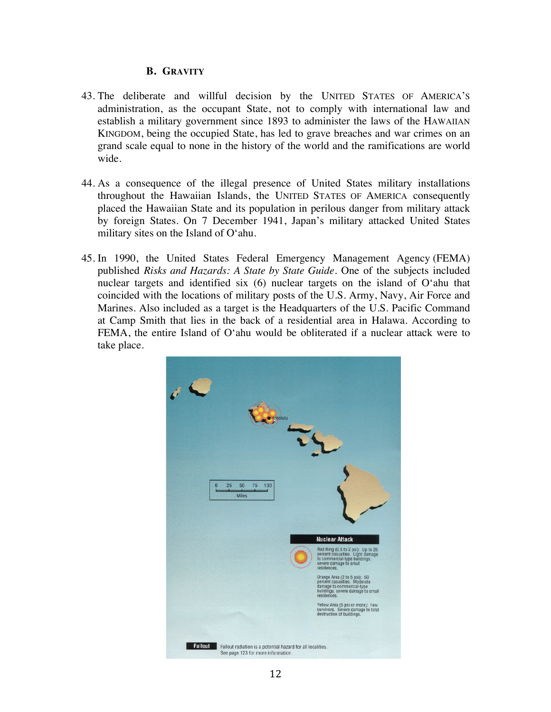### **B. GRAVITY**

- 43. The deliberate and willful decision by the UNITED STATES OF AMERICA'S administration, as the occupant State, not to comply with international law and establish a military government since 1893 to administer the laws of the HAWAIIAN KINGDOM, being the occupied State, has led to grave breaches and war crimes on an grand scale equal to none in the history of the world and the ramifications are world wide.
- 44. As a consequence of the illegal presence of United States military installations throughout the Hawaiian Islands, the UNITED STATES OF AMERICA consequently placed the Hawaiian State and its population in perilous danger from military attack by foreign States. On 7 December 1941, Japan's military attacked United States military sites on the Island of O'ahu.
- 45. In 1990, the United States Federal Emergency Management Agency (FEMA) published *Risks and Hazards: A State by State Guide*. One of the subjects included nuclear targets and identified six (6) nuclear targets on the island of O'ahu that coincided with the locations of military posts of the U.S. Army, Navy, Air Force and Marines. Also included as a target is the Headquarters of the U.S. Pacific Command at Camp Smith that lies in the back of a residential area in Halawa. According to FEMA, the entire Island of O'ahu would be obliterated if a nuclear attack were to take place.

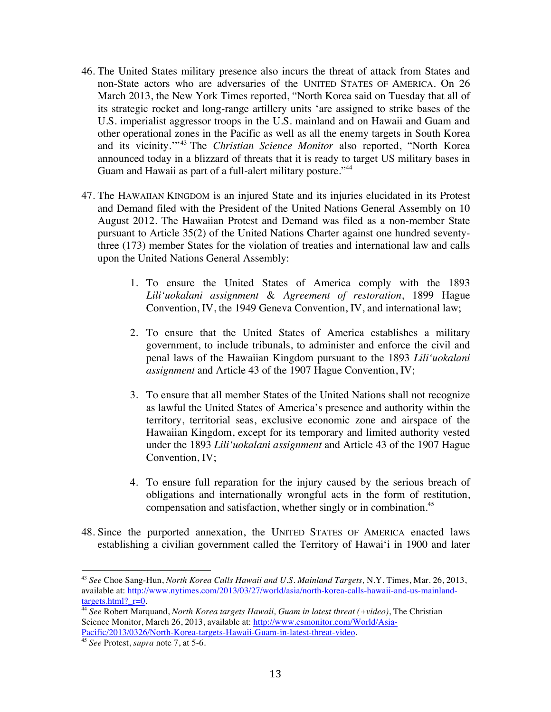- 46. The United States military presence also incurs the threat of attack from States and non-State actors who are adversaries of the UNITED STATES OF AMERICA. On 26 March 2013, the New York Times reported, "North Korea said on Tuesday that all of its strategic rocket and long-range artillery units 'are assigned to strike bases of the U.S. imperialist aggressor troops in the U.S. mainland and on Hawaii and Guam and other operational zones in the Pacific as well as all the enemy targets in South Korea and its vicinity."<sup>43</sup> The *Christian Science Monitor* also reported, "North Korea announced today in a blizzard of threats that it is ready to target US military bases in Guam and Hawaii as part of a full-alert military posture."<sup>44</sup>
- 47. The HAWAIIAN KINGDOM is an injured State and its injuries elucidated in its Protest and Demand filed with the President of the United Nations General Assembly on 10 August 2012. The Hawaiian Protest and Demand was filed as a non-member State pursuant to Article 35(2) of the United Nations Charter against one hundred seventythree (173) member States for the violation of treaties and international law and calls upon the United Nations General Assembly:
	- 1. To ensure the United States of America comply with the 1893 *Lili'uokalani assignment* & *Agreement of restoration*, 1899 Hague Convention, IV, the 1949 Geneva Convention, IV, and international law;
	- 2. To ensure that the United States of America establishes a military government, to include tribunals, to administer and enforce the civil and penal laws of the Hawaiian Kingdom pursuant to the 1893 *Lili'uokalani assignment* and Article 43 of the 1907 Hague Convention, IV;
	- 3. To ensure that all member States of the United Nations shall not recognize as lawful the United States of America's presence and authority within the territory, territorial seas, exclusive economic zone and airspace of the Hawaiian Kingdom, except for its temporary and limited authority vested under the 1893 *Lili'uokalani assignment* and Article 43 of the 1907 Hague Convention, IV;
	- 4. To ensure full reparation for the injury caused by the serious breach of obligations and internationally wrongful acts in the form of restitution, compensation and satisfaction, whether singly or in combination. 45
- 48. Since the purported annexation, the UNITED STATES OF AMERICA enacted laws establishing a civilian government called the Territory of Hawai'i in 1900 and later

<sup>43</sup> *See* Choe Sang-Hun, *North Korea Calls Hawaii and U.S. Mainland Targets,* N.Y. Times, Mar. 26, 2013, available at: http://www.nytimes.com/2013/03/27/world/asia/north-korea-calls-hawaii-and-us-mainlandtargets.html?\_r=0.

<sup>44</sup> *See* Robert Marquand, *North Korea targets Hawaii, Guam in latest threat (+video)*, The Christian Science Monitor, March 26, 2013, available at: http://www.csmonitor.com/World/Asia-Pacific/2013/0326/North-Korea-targets-Hawaii-Guam-in-latest-threat-video.

<sup>45</sup> *See* Protest, *supra* note 7, at 5-6.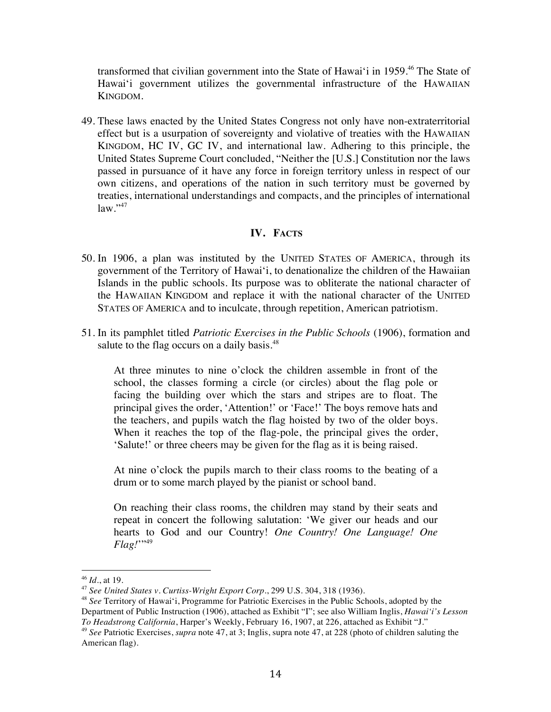transformed that civilian government into the State of Hawai'i in 1959.<sup>46</sup> The State of Hawai'i government utilizes the governmental infrastructure of the HAWAIIAN KINGDOM.

49. These laws enacted by the United States Congress not only have non-extraterritorial effect but is a usurpation of sovereignty and violative of treaties with the HAWAIIAN KINGDOM, HC IV, GC IV, and international law. Adhering to this principle, the United States Supreme Court concluded, "Neither the [U.S.] Constitution nor the laws passed in pursuance of it have any force in foreign territory unless in respect of our own citizens, and operations of the nation in such territory must be governed by treaties, international understandings and compacts, and the principles of international  $law.$ <sup>\*47</sup>

# **IV. FACTS**

- 50. In 1906, a plan was instituted by the UNITED STATES OF AMERICA, through its government of the Territory of Hawai'i, to denationalize the children of the Hawaiian Islands in the public schools. Its purpose was to obliterate the national character of the HAWAIIAN KINGDOM and replace it with the national character of the UNITED STATES OF AMERICA and to inculcate, through repetition, American patriotism.
- 51. In its pamphlet titled *Patriotic Exercises in the Public Schools* (1906), formation and salute to the flag occurs on a daily basis.<sup>48</sup>

At three minutes to nine o'clock the children assemble in front of the school, the classes forming a circle (or circles) about the flag pole or facing the building over which the stars and stripes are to float. The principal gives the order, 'Attention!' or 'Face!' The boys remove hats and the teachers, and pupils watch the flag hoisted by two of the older boys. When it reaches the top of the flag-pole, the principal gives the order, 'Salute!' or three cheers may be given for the flag as it is being raised.

At nine o'clock the pupils march to their class rooms to the beating of a drum or to some march played by the pianist or school band.

On reaching their class rooms, the children may stand by their seats and repeat in concert the following salutation: 'We giver our heads and our hearts to God and our Country! *One Country! One Language! One Flag!*"<sup>49</sup>

<sup>46</sup> *Id*., at 19.

<sup>47</sup> *See United States v. Curtiss-Wright Export Corp.*, 299 U.S. 304, 318 (1936).

<sup>48</sup> *See* Territory of Hawai'i, Programme for Patriotic Exercises in the Public Schools, adopted by the Department of Public Instruction (1906), attached as Exhibit "I"; see also William Inglis, *Hawai'i's Lesson To Headstrong California*, Harper's Weekly, February 16, 1907, at 226, attached as Exhibit "J."

<sup>49</sup> *See* Patriotic Exercises, *supra* note 47, at 3; Inglis, supra note 47, at 228 (photo of children saluting the American flag).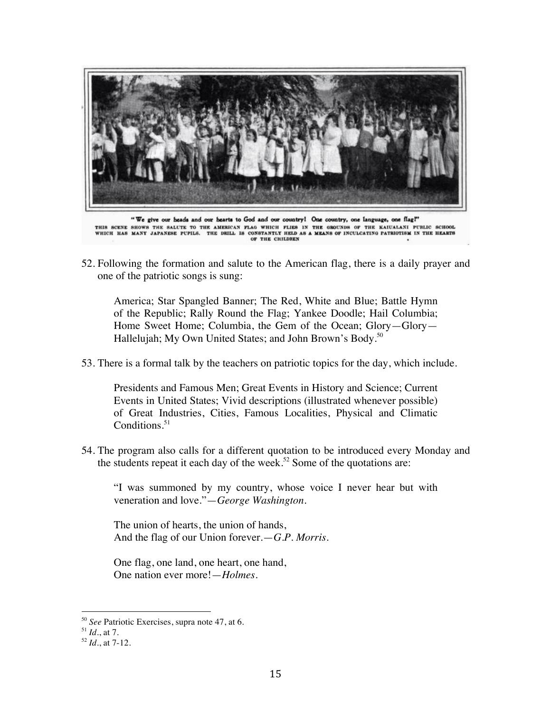

"We give our heads and our hearts to God and our country! One country, one language, one flag!" THIS SCENE SHOWS THE SALUTE TO THE AMERICAN FLAG WHICH FLIES IN THE GROUNDS OF THE KAIUALANI PUBLIC SCHOOL<br>WHICH HAS MANY JAPANESE PUPILS. THE DRILL IS CONSTANTLY HELD AS A MEANS OF INCULCATING PATRIOTISM IN THE HEARTS OF THE CHILDREN

52. Following the formation and salute to the American flag, there is a daily prayer and one of the patriotic songs is sung:

America; Star Spangled Banner; The Red, White and Blue; Battle Hymn of the Republic; Rally Round the Flag; Yankee Doodle; Hail Columbia; Home Sweet Home; Columbia, the Gem of the Ocean; Glory—Glory— Hallelujah; My Own United States; and John Brown's Body.<sup>50</sup>

53. There is a formal talk by the teachers on patriotic topics for the day, which include.

Presidents and Famous Men; Great Events in History and Science; Current Events in United States; Vivid descriptions (illustrated whenever possible) of Great Industries, Cities, Famous Localities, Physical and Climatic Conditions. $51$ 

54. The program also calls for a different quotation to be introduced every Monday and the students repeat it each day of the week.<sup>52</sup> Some of the quotations are:

"I was summoned by my country, whose voice I never hear but with veneration and love."—*George Washington*.

The union of hearts, the union of hands, And the flag of our Union forever.—*G.P. Morris*.

One flag, one land, one heart, one hand, One nation ever more!—*Holmes*.

<sup>50</sup> *See* Patriotic Exercises, supra note 47, at 6.

<sup>51</sup> *Id*., at 7.

<sup>52</sup> *Id*., at 7-12.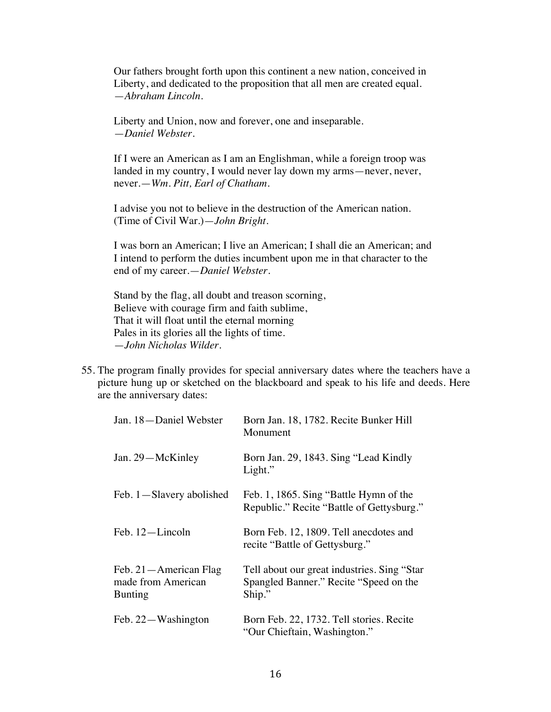Our fathers brought forth upon this continent a new nation, conceived in Liberty, and dedicated to the proposition that all men are created equal. —*Abraham Lincoln*.

Liberty and Union, now and forever, one and inseparable. —*Daniel Webster*.

If I were an American as I am an Englishman, while a foreign troop was landed in my country, I would never lay down my arms—never, never, never.—*Wm. Pitt, Earl of Chatham*.

I advise you not to believe in the destruction of the American nation. (Time of Civil War.)—*John Bright*.

I was born an American; I live an American; I shall die an American; and I intend to perform the duties incumbent upon me in that character to the end of my career.—*Daniel Webster*.

Stand by the flag, all doubt and treason scorning, Believe with courage firm and faith sublime, That it will float until the eternal morning Pales in its glories all the lights of time. —*John Nicholas Wilder*.

55. The program finally provides for special anniversary dates where the teachers have a picture hung up or sketched on the blackboard and speak to his life and deeds. Here are the anniversary dates:

| Jan. 18-Daniel Webster                                          | Born Jan. 18, 1782. Recite Bunker Hill<br>Monument                                               |
|-----------------------------------------------------------------|--------------------------------------------------------------------------------------------------|
| Jan. 29-McKinley                                                | Born Jan. 29, 1843. Sing "Lead Kindly"<br>Light."                                                |
| Feb. 1—Slavery abolished                                        | Feb. 1, 1865. Sing "Battle Hymn of the<br>Republic." Recite "Battle of Gettysburg."              |
| Feb. 12-Lincoln                                                 | Born Feb. 12, 1809. Tell anecdotes and<br>recite "Battle of Gettysburg."                         |
| Feb. 21 - American Flag<br>made from American<br><b>Bunting</b> | Tell about our great industries. Sing "Star"<br>Spangled Banner." Recite "Speed on the<br>Ship." |
| Feb. 22-Washington                                              | Born Feb. 22, 1732. Tell stories. Recite<br>"Our Chieftain, Washington."                         |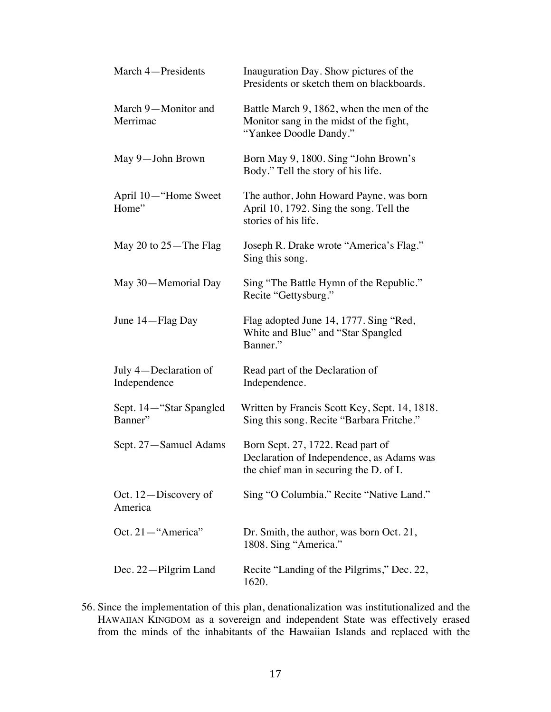| March 4-Presidents                    | Inauguration Day. Show pictures of the<br>Presidents or sketch them on blackboards.                                      |
|---------------------------------------|--------------------------------------------------------------------------------------------------------------------------|
| March 9-Monitor and<br>Merrimac       | Battle March 9, 1862, when the men of the<br>Monitor sang in the midst of the fight,<br>"Yankee Doodle Dandy."           |
| May 9-John Brown                      | Born May 9, 1800. Sing "John Brown's<br>Body." Tell the story of his life.                                               |
| April 10—"Home Sweet<br>Home"         | The author, John Howard Payne, was born<br>April 10, 1792. Sing the song. Tell the<br>stories of his life.               |
| May 20 to $25 -$ The Flag             | Joseph R. Drake wrote "America's Flag."<br>Sing this song.                                                               |
| May 30-Memorial Day                   | Sing "The Battle Hymn of the Republic."<br>Recite "Gettysburg."                                                          |
| June 14—Flag Day                      | Flag adopted June 14, 1777. Sing "Red,<br>White and Blue" and "Star Spangled<br>Banner."                                 |
| July 4—Declaration of<br>Independence | Read part of the Declaration of<br>Independence.                                                                         |
| Sept. 14—"Star Spangled<br>Banner"    | Written by Francis Scott Key, Sept. 14, 1818.<br>Sing this song. Recite "Barbara Fritche."                               |
| Sept. 27-Samuel Adams                 | Born Sept. 27, 1722. Read part of<br>Declaration of Independence, as Adams was<br>the chief man in securing the D. of I. |
| Oct. 12-Discovery of<br>America       | Sing "O Columbia." Recite "Native Land."                                                                                 |
| Oct. 21-"America"                     | Dr. Smith, the author, was born Oct. 21,<br>1808. Sing "America."                                                        |
| Dec. 22-Pilgrim Land                  | Recite "Landing of the Pilgrims," Dec. 22,<br>1620.                                                                      |

56. Since the implementation of this plan, denationalization was institutionalized and the HAWAIIAN KINGDOM as a sovereign and independent State was effectively erased from the minds of the inhabitants of the Hawaiian Islands and replaced with the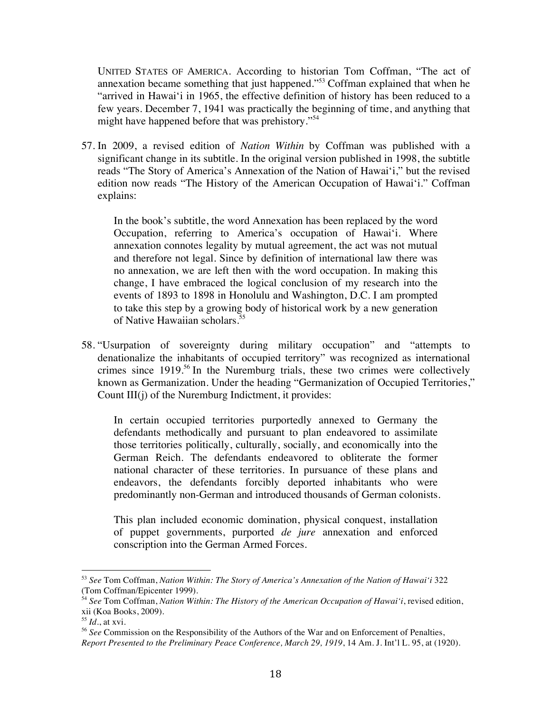UNITED STATES OF AMERICA. According to historian Tom Coffman, "The act of annexation became something that just happened."53 Coffman explained that when he "arrived in Hawai'i in 1965, the effective definition of history has been reduced to a few years. December 7, 1941 was practically the beginning of time, and anything that might have happened before that was prehistory."<sup>54</sup>

57. In 2009, a revised edition of *Nation Within* by Coffman was published with a significant change in its subtitle. In the original version published in 1998, the subtitle reads "The Story of America's Annexation of the Nation of Hawai'i," but the revised edition now reads "The History of the American Occupation of Hawai'i." Coffman explains:

In the book's subtitle, the word Annexation has been replaced by the word Occupation, referring to America's occupation of Hawai'i. Where annexation connotes legality by mutual agreement, the act was not mutual and therefore not legal. Since by definition of international law there was no annexation, we are left then with the word occupation. In making this change, I have embraced the logical conclusion of my research into the events of 1893 to 1898 in Honolulu and Washington, D.C. I am prompted to take this step by a growing body of historical work by a new generation of Native Hawaiian scholars. 55

58. "Usurpation of sovereignty during military occupation" and "attempts to denationalize the inhabitants of occupied territory" was recognized as international crimes since 1919.<sup>56</sup> In the Nuremburg trials, these two crimes were collectively known as Germanization. Under the heading "Germanization of Occupied Territories," Count III(j) of the Nuremburg Indictment, it provides:

In certain occupied territories purportedly annexed to Germany the defendants methodically and pursuant to plan endeavored to assimilate those territories politically, culturally, socially, and economically into the German Reich. The defendants endeavored to obliterate the former national character of these territories. In pursuance of these plans and endeavors, the defendants forcibly deported inhabitants who were predominantly non-German and introduced thousands of German colonists.

This plan included economic domination, physical conquest, installation of puppet governments, purported *de jure* annexation and enforced conscription into the German Armed Forces.

<sup>53</sup> *See* Tom Coffman, *Nation Within: The Story of America's Annexation of the Nation of Hawai'i* 322 (Tom Coffman/Epicenter 1999).

<sup>54</sup> *See* Tom Coffman, *Nation Within: The History of the American Occupation of Hawai'i*, revised edition, xii (Koa Books, 2009).

 $55$  *Id.*, at xvi.

<sup>56</sup> *See* Commission on the Responsibility of the Authors of the War and on Enforcement of Penalties, *Report Presented to the Preliminary Peace Conference, March 29, 1919*, 14 Am. J. Int'l L. 95, at (1920).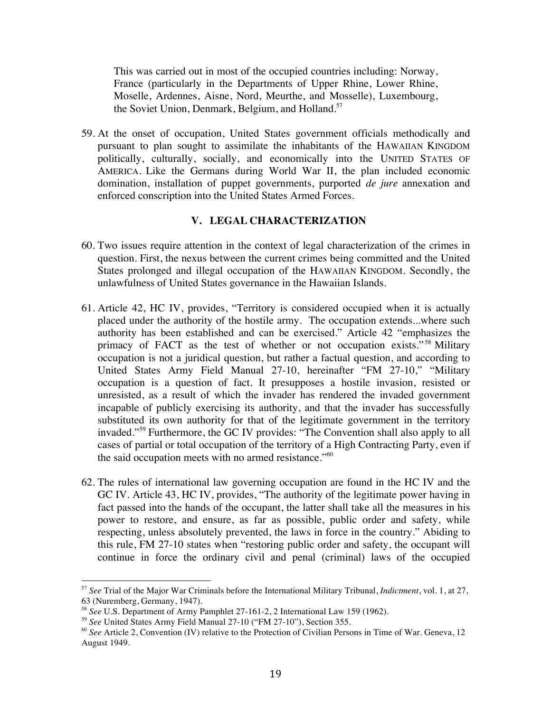This was carried out in most of the occupied countries including: Norway, France (particularly in the Departments of Upper Rhine, Lower Rhine, Moselle, Ardennes, Aisne, Nord, Meurthe, and Mosselle), Luxembourg, the Soviet Union, Denmark, Belgium, and Holland.<sup>57</sup>

59. At the onset of occupation, United States government officials methodically and pursuant to plan sought to assimilate the inhabitants of the HAWAIIAN KINGDOM politically, culturally, socially, and economically into the UNITED STATES OF AMERICA. Like the Germans during World War II, the plan included economic domination, installation of puppet governments, purported *de jure* annexation and enforced conscription into the United States Armed Forces.

#### **V. LEGAL CHARACTERIZATION**

- 60. Two issues require attention in the context of legal characterization of the crimes in question. First, the nexus between the current crimes being committed and the United States prolonged and illegal occupation of the HAWAIIAN KINGDOM. Secondly, the unlawfulness of United States governance in the Hawaiian Islands.
- 61. Article 42, HC IV, provides, "Territory is considered occupied when it is actually placed under the authority of the hostile army. The occupation extends...where such authority has been established and can be exercised." Article 42 "emphasizes the primacy of FACT as the test of whether or not occupation exists."<sup>58</sup> Military occupation is not a juridical question, but rather a factual question, and according to United States Army Field Manual 27-10, hereinafter "FM 27-10," "Military occupation is a question of fact. It presupposes a hostile invasion, resisted or unresisted, as a result of which the invader has rendered the invaded government incapable of publicly exercising its authority, and that the invader has successfully substituted its own authority for that of the legitimate government in the territory invaded."<sup>59</sup> Furthermore, the GC IV provides: "The Convention shall also apply to all cases of partial or total occupation of the territory of a High Contracting Party, even if the said occupation meets with no armed resistance."<sup>60</sup>
- 62. The rules of international law governing occupation are found in the HC IV and the GC IV. Article 43, HC IV, provides, "The authority of the legitimate power having in fact passed into the hands of the occupant, the latter shall take all the measures in his power to restore, and ensure, as far as possible, public order and safety, while respecting, unless absolutely prevented, the laws in force in the country." Abiding to this rule, FM 27-10 states when "restoring public order and safety, the occupant will continue in force the ordinary civil and penal (criminal) laws of the occupied

<sup>57</sup> *See* Trial of the Major War Criminals before the International Military Tribunal, *Indictment*, vol. 1, at 27, 63 (Nuremberg, Germany, 1947).

<sup>58</sup> *See* U.S. Department of Army Pamphlet 27-161-2, 2 International Law 159 (1962).

<sup>59</sup> *See* United States Army Field Manual 27-10 ("FM 27-10"), Section 355.

<sup>&</sup>lt;sup>60</sup> See Article 2, Convention (IV) relative to the Protection of Civilian Persons in Time of War. Geneva, 12 August 1949.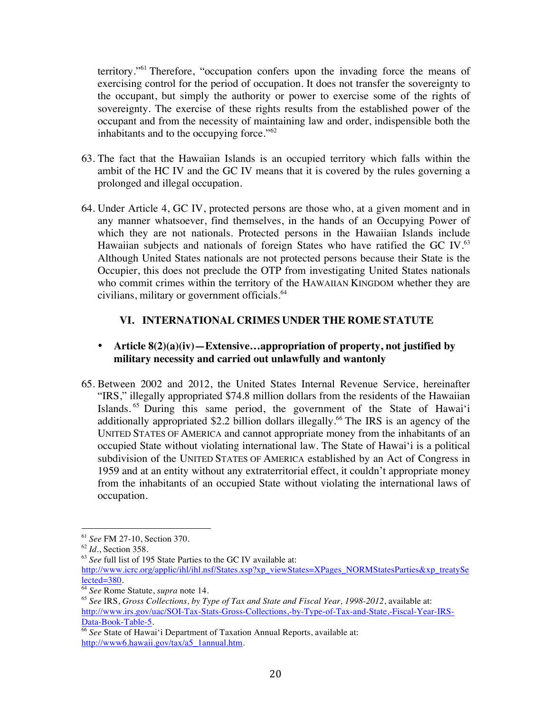territory."<sup>61</sup> Therefore, "occupation confers upon the invading force the means of exercising control for the period of occupation. It does not transfer the sovereignty to the occupant, but simply the authority or power to exercise some of the rights of sovereignty. The exercise of these rights results from the established power of the occupant and from the necessity of maintaining law and order, indispensible both the inhabitants and to the occupying force."<sup>62</sup>

- 63. The fact that the Hawaiian Islands is an occupied territory which falls within the ambit of the HC IV and the GC IV means that it is covered by the rules governing a prolonged and illegal occupation.
- 64. Under Article 4, GC IV, protected persons are those who, at a given moment and in any manner whatsoever, find themselves, in the hands of an Occupying Power of which they are not nationals. Protected persons in the Hawaiian Islands include Hawaiian subjects and nationals of foreign States who have ratified the GC IV. $^{63}$ Although United States nationals are not protected persons because their State is the Occupier, this does not preclude the OTP from investigating United States nationals who commit crimes within the territory of the HAWAIIAN KINGDOM whether they are civilians, military or government officials.<sup>64</sup>

# **VI. INTERNATIONAL CRIMES UNDER THE ROME STATUTE**

# • **Article 8(2)(a)(iv)—Extensive…appropriation of property, not justified by military necessity and carried out unlawfully and wantonly**

65. Between 2002 and 2012, the United States Internal Revenue Service, hereinafter "IRS," illegally appropriated \$74.8 million dollars from the residents of the Hawaiian Islands. <sup>65</sup> During this same period, the government of the State of Hawai'i additionally appropriated \$2.2 billion dollars illegally.<sup>66</sup> The IRS is an agency of the UNITED STATES OF AMERICA and cannot appropriate money from the inhabitants of an occupied State without violating international law. The State of Hawai'i is a political subdivision of the UNITED STATES OF AMERICA established by an Act of Congress in 1959 and at an entity without any extraterritorial effect, it couldn't appropriate money from the inhabitants of an occupied State without violating the international laws of occupation.

<sup>61</sup> *See* FM 27-10, Section 370.

<sup>62</sup> *Id*., Section 358.

<sup>63</sup> *See* full list of 195 State Parties to the GC IV available at:

http://www.icrc.org/applic/ihl/ihl.nsf/States.xsp?xp\_viewStates=XPages\_NORMStatesParties&xp\_treatySe  $lected = 380.$ 

<sup>64</sup> *See* Rome Statute, *supra* note 14.

<sup>65</sup> *See* IRS, *Gross Collections, by Type of Tax and State and Fiscal Year, 1998-2012*, available at: http://www.irs.gov/uac/SOI-Tax-Stats-Gross-Collections,-by-Type-of-Tax-and-State,-Fiscal-Year-IRS-Data-Book-Table-5.

<sup>66</sup> *See* State of Hawai'i Department of Taxation Annual Reports, available at: http://www6.hawaii.gov/tax/a5\_1annual.htm.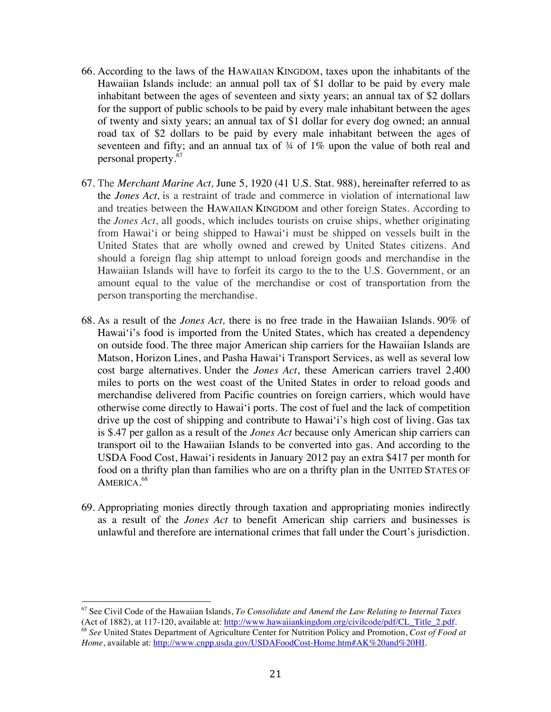- 66. According to the laws of the HAWAIIAN KINGDOM, taxes upon the inhabitants of the Hawaiian Islands include: an annual poll tax of \$1 dollar to be paid by every male inhabitant between the ages of seventeen and sixty years; an annual tax of \$2 dollars for the support of public schools to be paid by every male inhabitant between the ages of twenty and sixty years; an annual tax of \$1 dollar for every dog owned; an annual road tax of \$2 dollars to be paid by every male inhabitant between the ages of seventeen and fifty; and an annual tax of  $\frac{3}{4}$  of 1% upon the value of both real and personal property.<sup>67</sup>
- 67. The *Merchant Marine Act,* June 5, 1920 (41 U.S. Stat. 988), hereinafter referred to as the *Jones Act,* is a restraint of trade and commerce in violation of international law and treaties between the HAWAIIAN KINGDOM and other foreign States. According to the *Jones Act*, all goods, which includes tourists on cruise ships, whether originating from Hawai'i or being shipped to Hawai'i must be shipped on vessels built in the United States that are wholly owned and crewed by United States citizens. And should a foreign flag ship attempt to unload foreign goods and merchandise in the Hawaiian Islands will have to forfeit its cargo to the to the U.S. Government, or an amount equal to the value of the merchandise or cost of transportation from the person transporting the merchandise.
- 68. As a result of the *Jones Act,* there is no free trade in the Hawaiian Islands. 90% of Hawai'i's food is imported from the United States, which has created a dependency on outside food. The three major American ship carriers for the Hawaiian Islands are Matson, Horizon Lines, and Pasha Hawai'i Transport Services, as well as several low cost barge alternatives. Under the *Jones Act*, these American carriers travel 2,400 miles to ports on the west coast of the United States in order to reload goods and merchandise delivered from Pacific countries on foreign carriers, which would have otherwise come directly to Hawai'i ports. The cost of fuel and the lack of competition drive up the cost of shipping and contribute to Hawai'i's high cost of living. Gas tax is \$.47 per gallon as a result of the *Jones Act* because only American ship carriers can transport oil to the Hawaiian Islands to be converted into gas. And according to the USDA Food Cost, Hawai'i residents in January 2012 pay an extra \$417 per month for food on a thrifty plan than families who are on a thrifty plan in the UNITED STATES OF America.<sup>68</sup>
- 69. Appropriating monies directly through taxation and appropriating monies indirectly as a result of the *Jones Act* to benefit American ship carriers and businesses is unlawful and therefore are international crimes that fall under the Court's jurisdiction.

<sup>67</sup> See Civil Code of the Hawaiian Islands, *To Consolidate and Amend the Law Relating to Internal Taxes* (Act of 1882), at 117-120, available at: http://www.hawaiiankingdom.org/civilcode/pdf/CL\_Title\_2.pdf. <sup>68</sup> *See* United States Department of Agriculture Center for Nutrition Policy and Promotion, *Cost of Food at*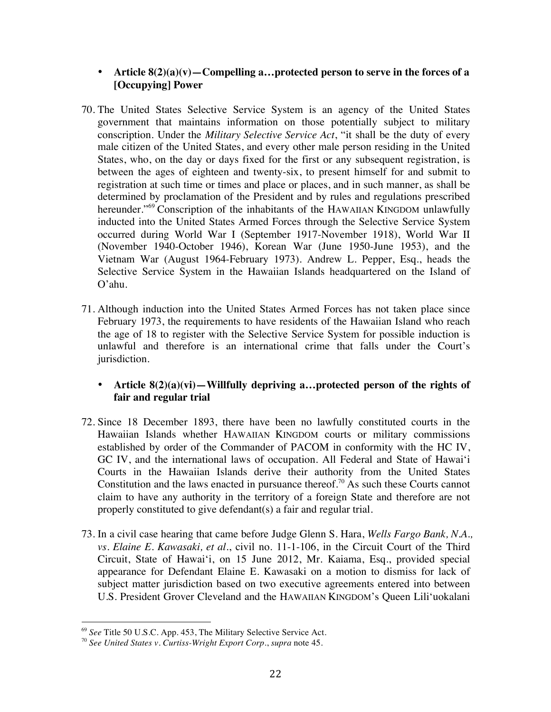- **Article 8(2)(a)(v)—Compelling a…protected person to serve in the forces of a [Occupying] Power**
- 70. The United States Selective Service System is an agency of the United States government that maintains information on those potentially subject to military conscription. Under the *Military Selective Service Act*, "it shall be the duty of every male citizen of the United States, and every other male person residing in the United States, who, on the day or days fixed for the first or any subsequent registration, is between the ages of eighteen and twenty-six, to present himself for and submit to registration at such time or times and place or places, and in such manner, as shall be determined by proclamation of the President and by rules and regulations prescribed hereunder."<sup>69</sup> Conscription of the inhabitants of the HAWAIIAN KINGDOM unlawfully inducted into the United States Armed Forces through the Selective Service System occurred during World War I (September 1917-November 1918), World War II (November 1940-October 1946), Korean War (June 1950-June 1953), and the Vietnam War (August 1964-February 1973). Andrew L. Pepper, Esq., heads the Selective Service System in the Hawaiian Islands headquartered on the Island of O'ahu.
- 71. Although induction into the United States Armed Forces has not taken place since February 1973, the requirements to have residents of the Hawaiian Island who reach the age of 18 to register with the Selective Service System for possible induction is unlawful and therefore is an international crime that falls under the Court's jurisdiction.

# • **Article 8(2)(a)(vi)—Willfully depriving a…protected person of the rights of fair and regular trial**

- 72. Since 18 December 1893, there have been no lawfully constituted courts in the Hawaiian Islands whether HAWAIIAN KINGDOM courts or military commissions established by order of the Commander of PACOM in conformity with the HC IV, GC IV, and the international laws of occupation. All Federal and State of Hawai'i Courts in the Hawaiian Islands derive their authority from the United States Constitution and the laws enacted in pursuance thereof.<sup>70</sup> As such these Courts cannot claim to have any authority in the territory of a foreign State and therefore are not properly constituted to give defendant(s) a fair and regular trial.
- 73. In a civil case hearing that came before Judge Glenn S. Hara, *Wells Fargo Bank, N.A., vs. Elaine E. Kawasaki, et al.*, civil no. 11-1-106, in the Circuit Court of the Third Circuit, State of Hawai'i, on 15 June 2012, Mr. Kaiama, Esq., provided special appearance for Defendant Elaine E. Kawasaki on a motion to dismiss for lack of subject matter jurisdiction based on two executive agreements entered into between U.S. President Grover Cleveland and the HAWAIIAN KINGDOM's Queen Lili'uokalani

<sup>69</sup> *See* Title 50 U.S.C. App. 453, The Military Selective Service Act.

<sup>70</sup> *See United States v. Curtiss-Wright Export Corp.*, *supra* note 45.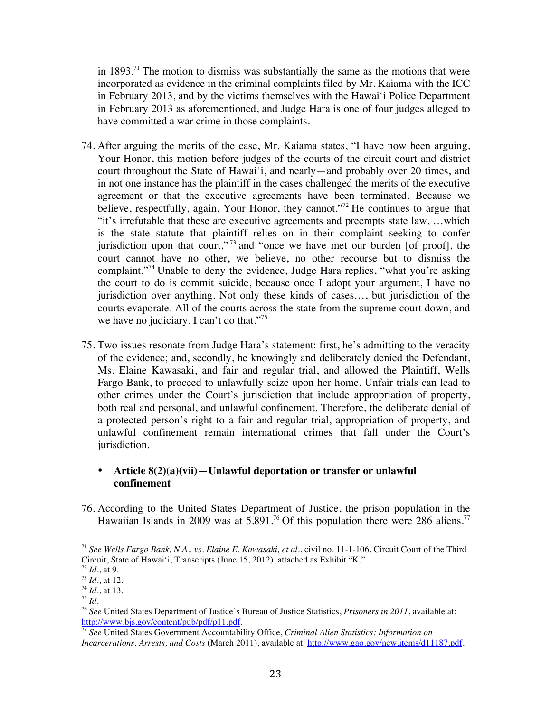in  $1893$ .<sup>71</sup> The motion to dismiss was substantially the same as the motions that were incorporated as evidence in the criminal complaints filed by Mr. Kaiama with the ICC in February 2013, and by the victims themselves with the Hawai'i Police Department in February 2013 as aforementioned, and Judge Hara is one of four judges alleged to have committed a war crime in those complaints.

- 74. After arguing the merits of the case, Mr. Kaiama states, "I have now been arguing, Your Honor, this motion before judges of the courts of the circuit court and district court throughout the State of Hawai'i, and nearly—and probably over 20 times, and in not one instance has the plaintiff in the cases challenged the merits of the executive agreement or that the executive agreements have been terminated. Because we believe, respectfully, again, Your Honor, they cannot."<sup>72</sup> He continues to argue that "it's irrefutable that these are executive agreements and preempts state law, …which is the state statute that plaintiff relies on in their complaint seeking to confer jurisdiction upon that court,"<sup>73</sup> and "once we have met our burden [of proof], the court cannot have no other, we believe, no other recourse but to dismiss the complaint."<sup>74</sup> Unable to deny the evidence, Judge Hara replies, "what you're asking the court to do is commit suicide, because once I adopt your argument, I have no jurisdiction over anything. Not only these kinds of cases…, but jurisdiction of the courts evaporate. All of the courts across the state from the supreme court down, and we have no judiciary. I can't do that."<sup>75</sup>
- 75. Two issues resonate from Judge Hara's statement: first, he's admitting to the veracity of the evidence; and, secondly, he knowingly and deliberately denied the Defendant, Ms. Elaine Kawasaki, and fair and regular trial, and allowed the Plaintiff, Wells Fargo Bank, to proceed to unlawfully seize upon her home. Unfair trials can lead to other crimes under the Court's jurisdiction that include appropriation of property, both real and personal, and unlawful confinement. Therefore, the deliberate denial of a protected person's right to a fair and regular trial, appropriation of property, and unlawful confinement remain international crimes that fall under the Court's jurisdiction.

# • **Article 8(2)(a)(vii)—Unlawful deportation or transfer or unlawful confinement**

76. According to the United States Department of Justice, the prison population in the Hawaiian Islands in 2009 was at  $5,891$ .<sup>76</sup> Of this population there were 286 aliens.<sup>77</sup>

<sup>71</sup> *See Wells Fargo Bank, N.A., vs. Elaine E. Kawasaki, et al.*, civil no. 11-1-106, Circuit Court of the Third Circuit, State of Hawai'i, Transcripts (June 15, 2012), attached as Exhibit "K."

<sup>72</sup> *Id*., at 9.

 $^{73}$  *Id.*, at 12.

<sup>74</sup> *Id*., at 13.

 $^{75}$  *Id*.

<sup>76</sup> *See* United States Department of Justice's Bureau of Justice Statistics, *Prisoners in 2011*, available at: http://www.bjs.gov/content/pub/pdf/p11.pdf.

<sup>77</sup> *See* United States Government Accountability Office, *Criminal Alien Statistics: Information on Incarcerations, Arrests, and Costs* (March 2011), available at: http://www.gao.gov/new.items/d11187.pdf.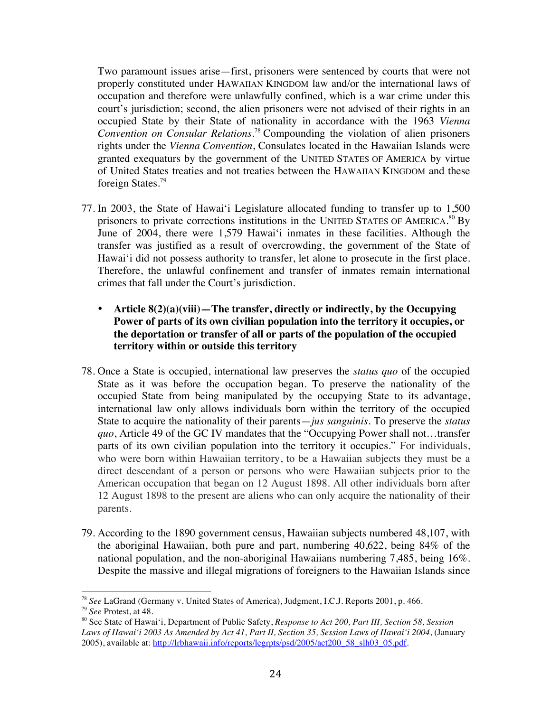Two paramount issues arise—first, prisoners were sentenced by courts that were not properly constituted under HAWAIIAN KINGDOM law and/or the international laws of occupation and therefore were unlawfully confined, which is a war crime under this court's jurisdiction; second, the alien prisoners were not advised of their rights in an occupied State by their State of nationality in accordance with the 1963 *Vienna Convention on Consular Relations*. <sup>78</sup> Compounding the violation of alien prisoners rights under the *Vienna Convention*, Consulates located in the Hawaiian Islands were granted exequaturs by the government of the UNITED STATES OF AMERICA by virtue of United States treaties and not treaties between the HAWAIIAN KINGDOM and these foreign States.<sup>79</sup>

- 77. In 2003, the State of Hawai'i Legislature allocated funding to transfer up to 1,500 prisoners to private corrections institutions in the UNITED STATES OF AMERICA.<sup>80</sup> By June of 2004, there were 1,579 Hawai'i inmates in these facilities. Although the transfer was justified as a result of overcrowding, the government of the State of Hawai'i did not possess authority to transfer, let alone to prosecute in the first place. Therefore, the unlawful confinement and transfer of inmates remain international crimes that fall under the Court's jurisdiction.
	- **Article 8(2)(a)(viii)—The transfer, directly or indirectly, by the Occupying Power of parts of its own civilian population into the territory it occupies, or the deportation or transfer of all or parts of the population of the occupied territory within or outside this territory**
- 78. Once a State is occupied, international law preserves the *status quo* of the occupied State as it was before the occupation began. To preserve the nationality of the occupied State from being manipulated by the occupying State to its advantage, international law only allows individuals born within the territory of the occupied State to acquire the nationality of their parents—*jus sanguinis*. To preserve the *status quo*, Article 49 of the GC IV mandates that the "Occupying Power shall not…transfer parts of its own civilian population into the territory it occupies." For individuals, who were born within Hawaiian territory, to be a Hawaiian subjects they must be a direct descendant of a person or persons who were Hawaiian subjects prior to the American occupation that began on 12 August 1898. All other individuals born after 12 August 1898 to the present are aliens who can only acquire the nationality of their parents.
- 79. According to the 1890 government census, Hawaiian subjects numbered 48,107, with the aboriginal Hawaiian, both pure and part, numbering 40,622, being 84% of the national population, and the non-aboriginal Hawaiians numbering 7,485, being 16%. Despite the massive and illegal migrations of foreigners to the Hawaiian Islands since

<sup>78</sup> *See* LaGrand (Germany v. United States of America), Judgment, I.C.J. Reports 2001, p. 466.

<sup>79</sup> *See* Protest, at 48.

<sup>80</sup> See State of Hawai'i, Department of Public Safety, *Response to Act 200, Part III, Section 58, Session Laws of Hawai'i 2003 As Amended by Act 41, Part II, Section 35, Session Laws of Hawai'i 2004*, (January 2005), available at: http://lrbhawaii.info/reports/legrpts/psd/2005/act200\_58\_slh03\_05.pdf.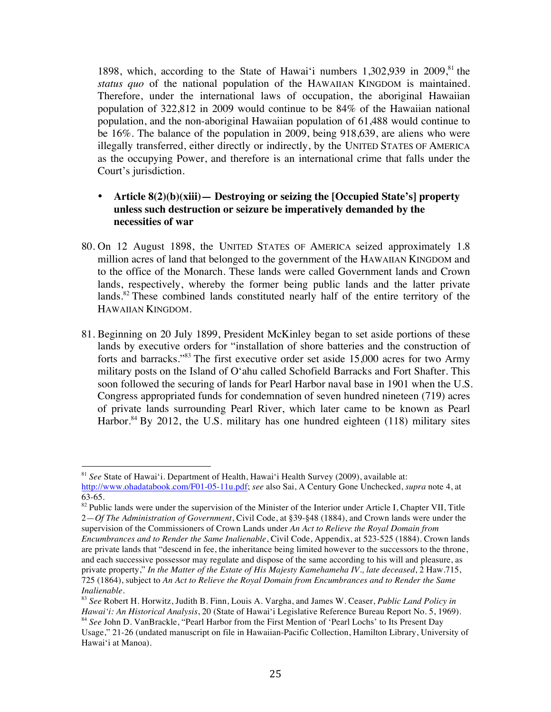1898, which, according to the State of Hawai'i numbers 1,302,939 in 2009, $81$  the *status quo* of the national population of the HAWAIIAN KINGDOM is maintained. Therefore, under the international laws of occupation, the aboriginal Hawaiian population of 322,812 in 2009 would continue to be 84% of the Hawaiian national population, and the non-aboriginal Hawaiian population of 61,488 would continue to be 16%. The balance of the population in 2009, being 918,639, are aliens who were illegally transferred, either directly or indirectly, by the UNITED STATES OF AMERICA as the occupying Power, and therefore is an international crime that falls under the Court's jurisdiction.

# • **Article 8(2)(b)(xiii)— Destroying or seizing the [Occupied State's] property unless such destruction or seizure be imperatively demanded by the necessities of war**

- 80. On 12 August 1898, the UNITED STATES OF AMERICA seized approximately 1.8 million acres of land that belonged to the government of the HAWAIIAN KINGDOM and to the office of the Monarch. These lands were called Government lands and Crown lands, respectively, whereby the former being public lands and the latter private lands.<sup>82</sup> These combined lands constituted nearly half of the entire territory of the HAWAIIAN KINGDOM.
- 81. Beginning on 20 July 1899, President McKinley began to set aside portions of these lands by executive orders for "installation of shore batteries and the construction of forts and barracks."83 The first executive order set aside 15,000 acres for two Army military posts on the Island of O'ahu called Schofield Barracks and Fort Shafter. This soon followed the securing of lands for Pearl Harbor naval base in 1901 when the U.S. Congress appropriated funds for condemnation of seven hundred nineteen (719) acres of private lands surrounding Pearl River, which later came to be known as Pearl Harbor.<sup>84</sup> By 2012, the U.S. military has one hundred eighteen  $(118)$  military sites

<sup>81</sup> *See* State of Hawai'i. Department of Health, Hawai'i Health Survey (2009), available at:

http://www.ohadatabook.com/F01-05-11u.pdf; *see* also Sai, A Century Gone Unchecked, *supra* note 4, at 63-65.

<sup>&</sup>lt;sup>82</sup> Public lands were under the supervision of the Minister of the Interior under Article I, Chapter VII, Title 2—*Of The Administration of Government*, Civil Code, at §39-§48 (1884), and Crown lands were under the supervision of the Commissioners of Crown Lands under *An Act to Relieve the Royal Domain from* 

*Encumbrances and to Render the Same Inalienable*, Civil Code, Appendix, at 523-525 (1884). Crown lands are private lands that "descend in fee, the inheritance being limited however to the successors to the throne, and each successive possessor may regulate and dispose of the same according to his will and pleasure, as private property," *In the Matter of the Estate of His Majesty Kamehameha IV., late deceased*, 2 Haw.715, 725 (1864), subject to *An Act to Relieve the Royal Domain from Encumbrances and to Render the Same Inalienable*.

<sup>83</sup> *See* Robert H. Horwitz, Judith B. Finn, Louis A. Vargha, and James W. Ceaser, *Public Land Policy in Hawai'i: An Historical Analysis*, 20 (State of Hawai'i Legislative Reference Bureau Report No. 5, 1969). <sup>84</sup> *See* John D. VanBrackle, "Pearl Harbor from the First Mention of 'Pearl Lochs' to Its Present Day Usage," 21-26 (undated manuscript on file in Hawaiian-Pacific Collection, Hamilton Library, University of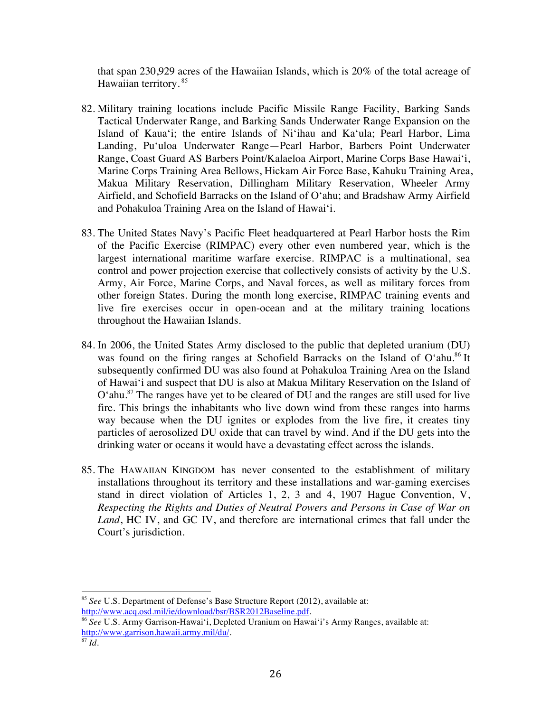that span 230,929 acres of the Hawaiian Islands, which is 20% of the total acreage of Hawaiian territory. <sup>85</sup>

- 82. Military training locations include Pacific Missile Range Facility, Barking Sands Tactical Underwater Range, and Barking Sands Underwater Range Expansion on the Island of Kaua'i; the entire Islands of Ni'ihau and Ka'ula; Pearl Harbor, Lima Landing, Pu'uloa Underwater Range—Pearl Harbor, Barbers Point Underwater Range, Coast Guard AS Barbers Point/Kalaeloa Airport, Marine Corps Base Hawai'i, Marine Corps Training Area Bellows, Hickam Air Force Base, Kahuku Training Area, Makua Military Reservation, Dillingham Military Reservation, Wheeler Army Airfield, and Schofield Barracks on the Island of O'ahu; and Bradshaw Army Airfield and Pohakuloa Training Area on the Island of Hawai'i.
- 83. The United States Navy's Pacific Fleet headquartered at Pearl Harbor hosts the Rim of the Pacific Exercise (RIMPAC) every other even numbered year, which is the largest international maritime warfare exercise. RIMPAC is a multinational, sea control and power projection exercise that collectively consists of activity by the U.S. Army, Air Force, Marine Corps, and Naval forces, as well as military forces from other foreign States. During the month long exercise, RIMPAC training events and live fire exercises occur in open-ocean and at the military training locations throughout the Hawaiian Islands.
- 84. In 2006, the United States Army disclosed to the public that depleted uranium (DU) was found on the firing ranges at Schofield Barracks on the Island of  $O^{\prime}$ ahu.<sup>86</sup> It subsequently confirmed DU was also found at Pohakuloa Training Area on the Island of Hawai'i and suspect that DU is also at Makua Military Reservation on the Island of O'ahu. <sup>87</sup> The ranges have yet to be cleared of DU and the ranges are still used for live fire. This brings the inhabitants who live down wind from these ranges into harms way because when the DU ignites or explodes from the live fire, it creates tiny particles of aerosolized DU oxide that can travel by wind. And if the DU gets into the drinking water or oceans it would have a devastating effect across the islands.
- 85. The HAWAIIAN KINGDOM has never consented to the establishment of military installations throughout its territory and these installations and war-gaming exercises stand in direct violation of Articles 1, 2, 3 and 4, 1907 Hague Convention, V, *Respecting the Rights and Duties of Neutral Powers and Persons in Case of War on Land*, HC IV, and GC IV, and therefore are international crimes that fall under the Court's jurisdiction.

 <sup>85</sup> *See* U.S. Department of Defense's Base Structure Report (2012), available at: http://www.acq.osd.mil/ie/download/bsr/BSR2012Baseline.pdf.

<sup>&</sup>lt;sup>86</sup> See U.S. Army Garrison-Hawai'i, Depleted Uranium on Hawai'i's Army Ranges, available at: http://www.garrison.hawaii.army.mil/du/.

 $87 \, \mu$ <sup>37</sup>.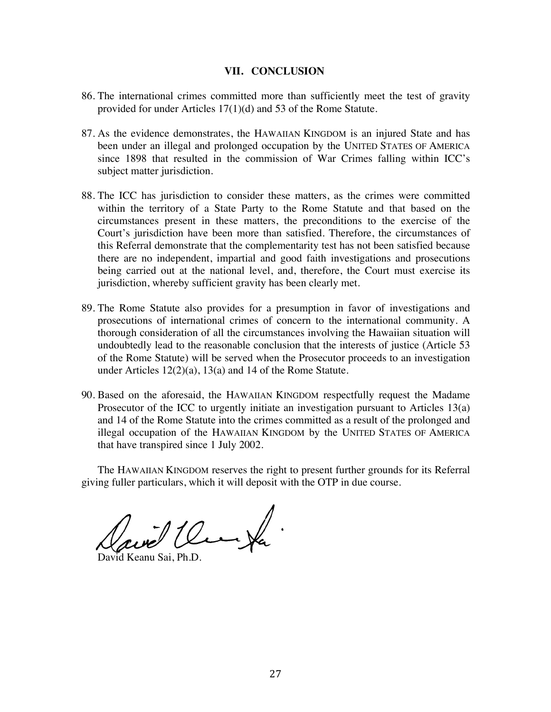### **VII. CONCLUSION**

- 86. The international crimes committed more than sufficiently meet the test of gravity provided for under Articles 17(1)(d) and 53 of the Rome Statute.
- 87. As the evidence demonstrates, the HAWAIIAN KINGDOM is an injured State and has been under an illegal and prolonged occupation by the UNITED STATES OF AMERICA since 1898 that resulted in the commission of War Crimes falling within ICC's subject matter jurisdiction.
- 88. The ICC has jurisdiction to consider these matters, as the crimes were committed within the territory of a State Party to the Rome Statute and that based on the circumstances present in these matters, the preconditions to the exercise of the Court's jurisdiction have been more than satisfied. Therefore, the circumstances of this Referral demonstrate that the complementarity test has not been satisfied because there are no independent, impartial and good faith investigations and prosecutions being carried out at the national level, and, therefore, the Court must exercise its jurisdiction, whereby sufficient gravity has been clearly met.
- 89. The Rome Statute also provides for a presumption in favor of investigations and prosecutions of international crimes of concern to the international community. A thorough consideration of all the circumstances involving the Hawaiian situation will undoubtedly lead to the reasonable conclusion that the interests of justice (Article 53 of the Rome Statute) will be served when the Prosecutor proceeds to an investigation under Articles 12(2)(a), 13(a) and 14 of the Rome Statute.
- 90. Based on the aforesaid, the HAWAIIAN KINGDOM respectfully request the Madame Prosecutor of the ICC to urgently initiate an investigation pursuant to Articles 13(a) and 14 of the Rome Statute into the crimes committed as a result of the prolonged and illegal occupation of the HAWAIIAN KINGDOM by the UNITED STATES OF AMERICA that have transpired since 1 July 2002.

The HAWAIIAN KINGDOM reserves the right to present further grounds for its Referral giving fuller particulars, which it will deposit with the OTP in due course.

ave the fa

David Keanu Sai, Ph.D.